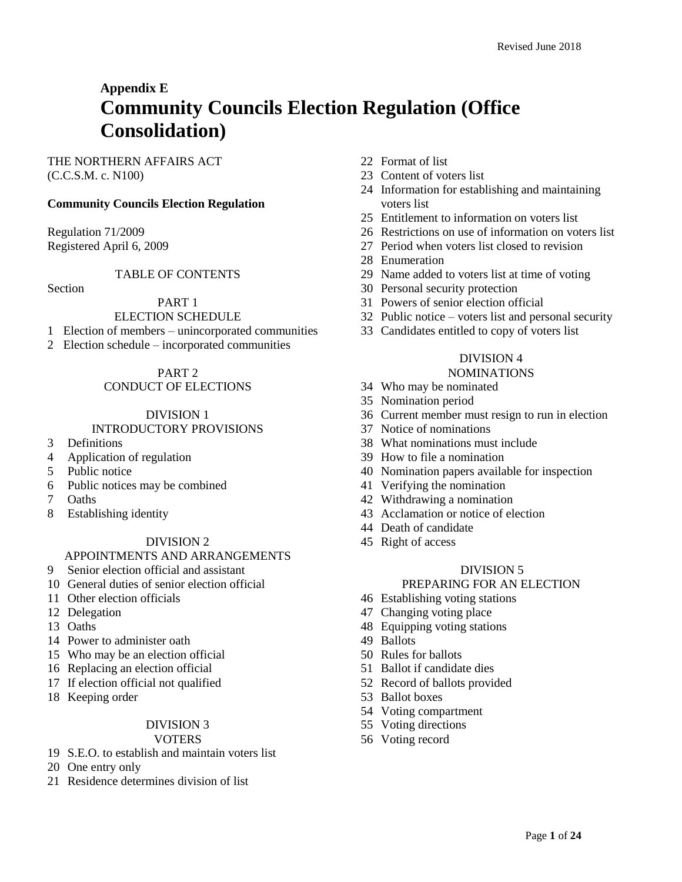# **Appendix E Community Councils Election Regulation (Office Consolidation)**

# THE NORTHERN AFFAIRS ACT (C.C.S.M. c. N100)

# **Community Councils Election Regulation**

Regulation 71/2009 Registered April 6, 2009

# TABLE OF CONTENTS

Section

# PART 1

#### ELECTION SCHEDULE

- Election of members unincorporated communities
- Election schedule incorporated communities

PART 2

# CONDUCT OF ELECTIONS

# DIVISION 1

# INTRODUCTORY PROVISIONS

- Definitions
- Application of regulation
- Public notice
- Public notices may be combined
- Oaths
- Establishing identity

#### DIVISION 2

# APPOINTMENTS AND ARRANGEMENTS

- Senior election official and assistant
- General duties of senior election official
- Other election officials
- Delegation
- Oaths
- Power to administer oath
- Who may be an election official
- Replacing an election official
- If election official not qualified
- Keeping order

# DIVISION 3

#### VOTERS

- S.E.O. to establish and maintain voters list
- One entry only
- Residence determines division of list
- Format of list
- Content of voters list
- Information for establishing and maintaining voters list
- Entitlement to information on voters list
- Restrictions on use of information on voters list
- Period when voters list closed to revision
- Enumeration
- Name added to voters list at time of voting
- Personal security protection
- Powers of senior election official
- Public notice voters list and personal security
- Candidates entitled to copy of voters list

# DIVISION 4

#### NOMINATIONS

- Who may be nominated
- Nomination period
- Current member must resign to run in election
- Notice of nominations
- What nominations must include
- How to file a nomination
- Nomination papers available for inspection
- Verifying the nomination
- Withdrawing a nomination
- Acclamation or notice of election
- Death of candidate
- Right of access

# DIVISION 5

#### PREPARING FOR AN ELECTION

- Establishing voting stations
- Changing voting place
- Equipping voting stations
- Ballots
- Rules for ballots
- Ballot if candidate dies
- Record of ballots provided
- Ballot boxes
- Voting compartment
- Voting directions
- Voting record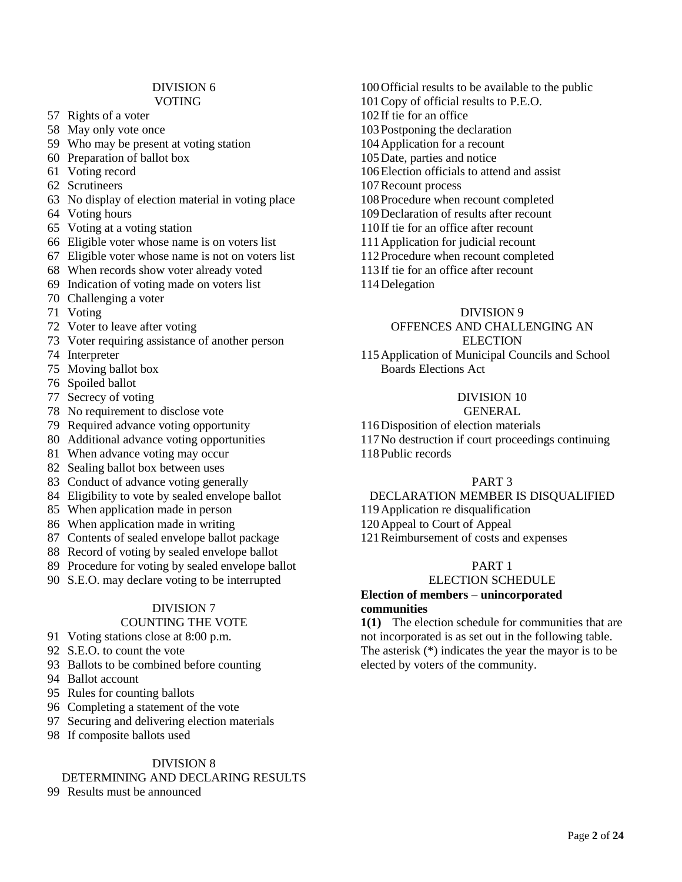#### DIVISION 6 VOTING

- 57 Rights of a voter
- 58 May only vote once
- 59 Who may be present at voting station
- 60 Preparation of ballot box
- 61 Voting record
- 62 Scrutineers
- 63 No display of election material in voting place
- 64 Voting hours
- 65 Voting at a voting station
- 66 Eligible voter whose name is on voters list
- 67 Eligible voter whose name is not on voters list
- 68 When records show voter already voted
- 69 Indication of voting made on voters list
- 70 Challenging a voter
- 71 Voting
- 72 Voter to leave after voting
- 73 Voter requiring assistance of another person
- 74 Interpreter
- 75 Moving ballot box
- 76 Spoiled ballot
- 77 Secrecy of voting
- 78 No requirement to disclose vote
- 79 Required advance voting opportunity
- 80 Additional advance voting opportunities
- 81 When advance voting may occur
- 82 Sealing ballot box between uses
- 83 Conduct of advance voting generally
- 84 Eligibility to vote by sealed envelope ballot
- 85 When application made in person
- 86 When application made in writing
- 87 Contents of sealed envelope ballot package
- 88 Record of voting by sealed envelope ballot
- 89 Procedure for voting by sealed envelope ballot
- 90 S.E.O. may declare voting to be interrupted

# DIVISION 7

# COUNTING THE VOTE

- 91 Voting stations close at 8:00 p.m.
- 92 S.E.O. to count the vote
- 93 Ballots to be combined before counting
- 94 Ballot account
- 95 Rules for counting ballots
- 96 Completing a statement of the vote
- 97 Securing and delivering election materials
- 98 If composite ballots used

# DIVISION 8

# DETERMINING AND DECLARING RESULTS

99 Results must be announced

- 100Official results to be available to the public 101Copy of official results to P.E.O. 102 If tie for an office 103Postponing the declaration 104Application for a recount 105Date, parties and notice 106Election officials to attend and assist 107Recount process 108Procedure when recount completed 109Declaration of results after recount 110 If tie for an office after recount 111Application for judicial recount 112Procedure when recount completed
- 113 If tie for an office after recount
- 114Delegation

# DIVISION 9

# OFFENCES AND CHALLENGING AN **ELECTION**

115Application of Municipal Councils and School Boards Elections Act

#### DIVISION 10

# GENERAL

- 116Disposition of election materials
- 117No destruction if court proceedings continuing
- 118Public records

#### PART 3

#### DECLARATION MEMBER IS DISQUALIFIED

119Application re disqualification

120Appeal to Court of Appeal

121Reimbursement of costs and expenses

# PART 1

#### ELECTION SCHEDULE

# **Election of members – unincorporated communities**

**1(1)** The election schedule for communities that are not incorporated is as set out in the following table. The asterisk (\*) indicates the year the mayor is to be elected by voters of the community.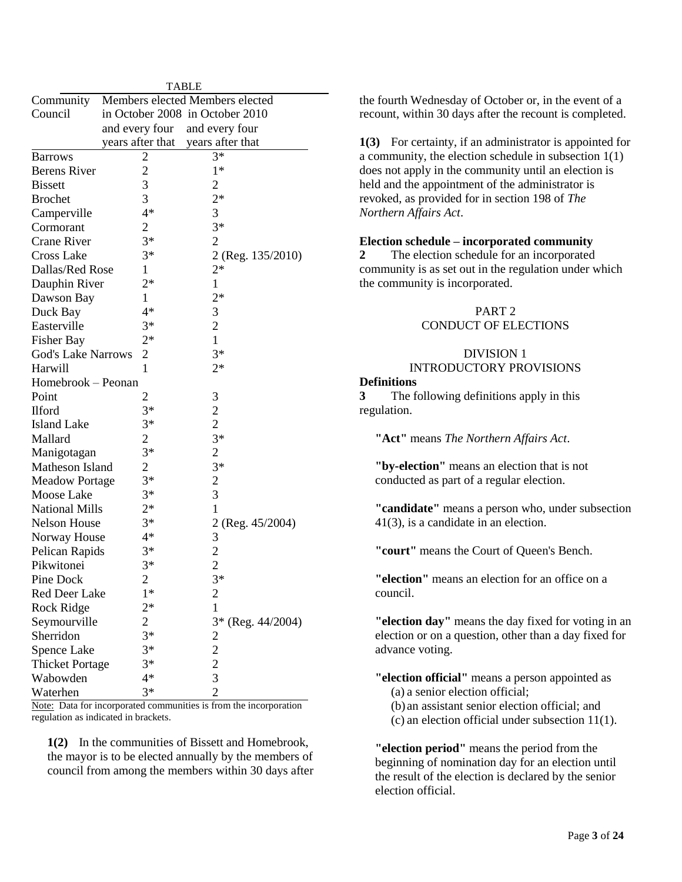| <b>TABLE</b>              |                  |                                            |  |
|---------------------------|------------------|--------------------------------------------|--|
| Community                 |                  | Members elected Members elected            |  |
| Council                   |                  | in October 2008 in October 2010            |  |
|                           | and every four   | and every four                             |  |
|                           | years after that | years after that                           |  |
| <b>Barrows</b>            | 2                | $3*$                                       |  |
| <b>Berens River</b>       | $\overline{c}$   | $1*$                                       |  |
| <b>Bissett</b>            | 3                | 2                                          |  |
| <b>Brochet</b>            | 3                | $2*$                                       |  |
| Camperville               | $4*$             | 3                                          |  |
| Cormorant                 | $\overline{2}$   | $3*$                                       |  |
| <b>Crane River</b>        | $3*$             | $\overline{2}$                             |  |
| <b>Cross Lake</b>         | $3*$             | 2 (Reg. 135/2010)                          |  |
| Dallas/Red Rose           | 1                | $2*$                                       |  |
| Dauphin River             | $2*$             | $\mathbf{1}$                               |  |
| Dawson Bay                | 1                | $2*$                                       |  |
| Duck Bay                  | 4*               | 3                                          |  |
| Easterville               | $3*$             | $\overline{c}$                             |  |
| <b>Fisher Bay</b>         | $2*$             | $\mathbf{1}$                               |  |
| <b>God's Lake Narrows</b> | $\overline{2}$   | $3*$                                       |  |
| Harwill                   | 1                | $2*$                                       |  |
| Homebrook – Peonan        |                  |                                            |  |
| Point                     | 2                | 3                                          |  |
| <b>Ilford</b>             | $3*$             |                                            |  |
| <b>Island Lake</b>        | $3*$             | $\frac{2}{2}$                              |  |
| Mallard                   | $\overline{2}$   | $3*$                                       |  |
| Manigotagan               | $3*$             | $\overline{2}$                             |  |
| Matheson Island           | $\overline{2}$   | $3*$                                       |  |
| <b>Meadow Portage</b>     | $3*$             | $\overline{\mathbf{c}}$                    |  |
| Moose Lake                | $3*$             | 3                                          |  |
| <b>National Mills</b>     | $2*$             | $\mathbf{1}$                               |  |
| <b>Nelson House</b>       | $3*$             | 2 (Reg. 45/2004)                           |  |
| Norway House              | $4*$             | 3                                          |  |
| Pelican Rapids            | $3*$             | $\overline{c}$                             |  |
| Pikwitonei                | $3*$             | $\overline{2}$                             |  |
| Pine Dock                 | $\overline{2}$   | $3*$                                       |  |
| Red Deer Lake             | $1*$             | $\overline{\mathbf{c}}$                    |  |
| Rock Ridge                | $2*$             | $\mathbf{1}$                               |  |
| Seymourville              | $\overline{2}$   | 3* (Reg. 44/2004)                          |  |
| Sherridon                 | $3*$             |                                            |  |
| Spence Lake               | $3*$             |                                            |  |
| <b>Thicket Portage</b>    | $3*$             | $\begin{array}{c} 2 \\ 2 \\ 3 \end{array}$ |  |
| Wabowden                  | $4*$             |                                            |  |
| Waterhen                  | $3*$             | $\overline{2}$                             |  |
|                           |                  |                                            |  |

Note: Data for incorporated communities is from the incorporation regulation as indicated in brackets.

**1(2)** In the communities of Bissett and Homebrook, the mayor is to be elected annually by the members of council from among the members within 30 days after the fourth Wednesday of October or, in the event of a recount, within 30 days after the recount is completed.

**1(3)** For certainty, if an administrator is appointed for a community, the election schedule in subsection 1(1) does not apply in the community until an election is held and the appointment of the administrator is revoked, as provided for in section 198 of *The Northern Affairs Act*.

#### **Election schedule – incorporated community**

**2** The election schedule for an incorporated community is as set out in the regulation under which the community is incorporated.

# PART 2 CONDUCT OF ELECTIONS

# DIVISION 1 INTRODUCTORY PROVISIONS

#### **Definitions**

**3** The following definitions apply in this regulation.

**"Act"** means *The Northern Affairs Act*.

**"by-election"** means an election that is not conducted as part of a regular election.

**"candidate"** means a person who, under subsection 41(3), is a candidate in an election.

**"court"** means the Court of Queen's Bench.

**"election"** means an election for an office on a council.

**"election day"** means the day fixed for voting in an election or on a question, other than a day fixed for advance voting.

**"election official"** means a person appointed as (a) a senior election official;

(b) an assistant senior election official; and

(c) an election official under subsection 11(1).

**"election period"** means the period from the beginning of nomination day for an election until the result of the election is declared by the senior election official.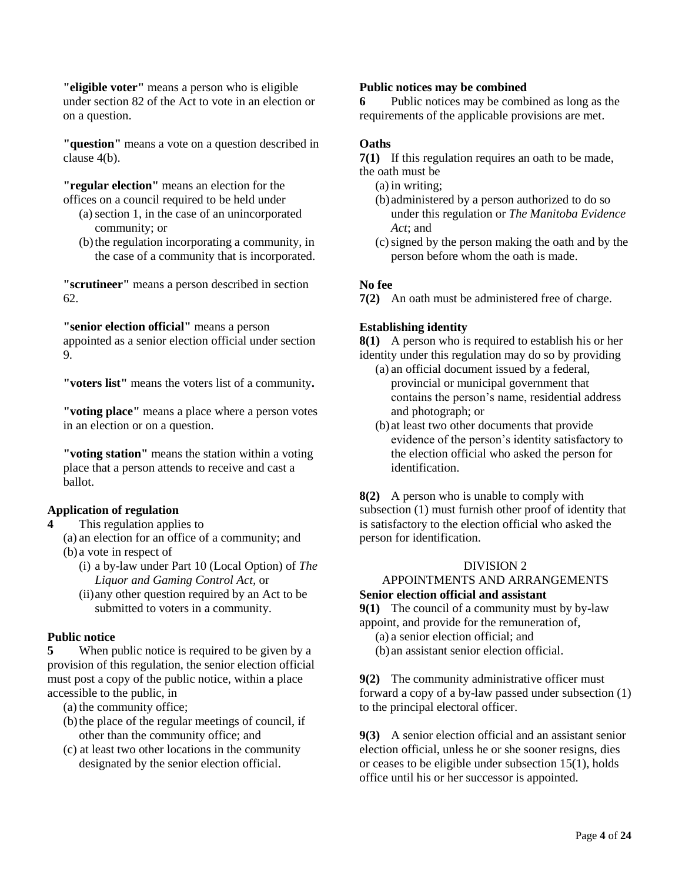**"eligible voter"** means a person who is eligible under section 82 of the Act to vote in an election or on a question.

**"question"** means a vote on a question described in clause 4(b).

**"regular election"** means an election for the

- offices on a council required to be held under (a)section 1, in the case of an unincorporated community; or
	- (b)the regulation incorporating a community, in the case of a community that is incorporated.

**"scrutineer"** means a person described in section 62.

**"senior election official"** means a person

appointed as a senior election official under section 9.

**"voters list"** means the voters list of a community**.**

**"voting place"** means a place where a person votes in an election or on a question.

**"voting station"** means the station within a voting place that a person attends to receive and cast a ballot.

# **Application of regulation**

**4** This regulation applies to

(a) an election for an office of a community; and (b) a vote in respect of

- (i) a by-law under Part 10 (Local Option) of *The Liquor and Gaming Control Act,* or
- (ii)any other question required by an Act to be submitted to voters in a community.

# **Public notice**

**5** When public notice is required to be given by a provision of this regulation, the senior election official must post a copy of the public notice, within a place accessible to the public, in

(a) the community office;

- (b)the place of the regular meetings of council, if other than the community office; and
- (c) at least two other locations in the community designated by the senior election official.

# **Public notices may be combined**

**6** Public notices may be combined as long as the requirements of the applicable provisions are met.

# **Oaths**

**7(1)** If this regulation requires an oath to be made, the oath must be

- (a) in writing;
- (b) administered by a person authorized to do so under this regulation or *The Manitoba Evidence Act*; and
- (c)signed by the person making the oath and by the person before whom the oath is made.

# **No fee**

**7(2)** An oath must be administered free of charge.

# **Establishing identity**

**8(1)** A person who is required to establish his or her identity under this regulation may do so by providing

- (a) an official document issued by a federal, provincial or municipal government that contains the person's name, residential address and photograph; or
- (b) at least two other documents that provide evidence of the person's identity satisfactory to the election official who asked the person for identification.

**8(2)** A person who is unable to comply with subsection (1) must furnish other proof of identity that is satisfactory to the election official who asked the person for identification.

# DIVISION 2

# APPOINTMENTS AND ARRANGEMENTS **Senior election official and assistant**

**9(1)** The council of a community must by by-law appoint, and provide for the remuneration of,

- (a) a senior election official; and
- (b) an assistant senior election official.

**9(2)** The community administrative officer must forward a copy of a by-law passed under subsection (1) to the principal electoral officer.

**9(3)** A senior election official and an assistant senior election official, unless he or she sooner resigns, dies or ceases to be eligible under subsection 15(1), holds office until his or her successor is appointed.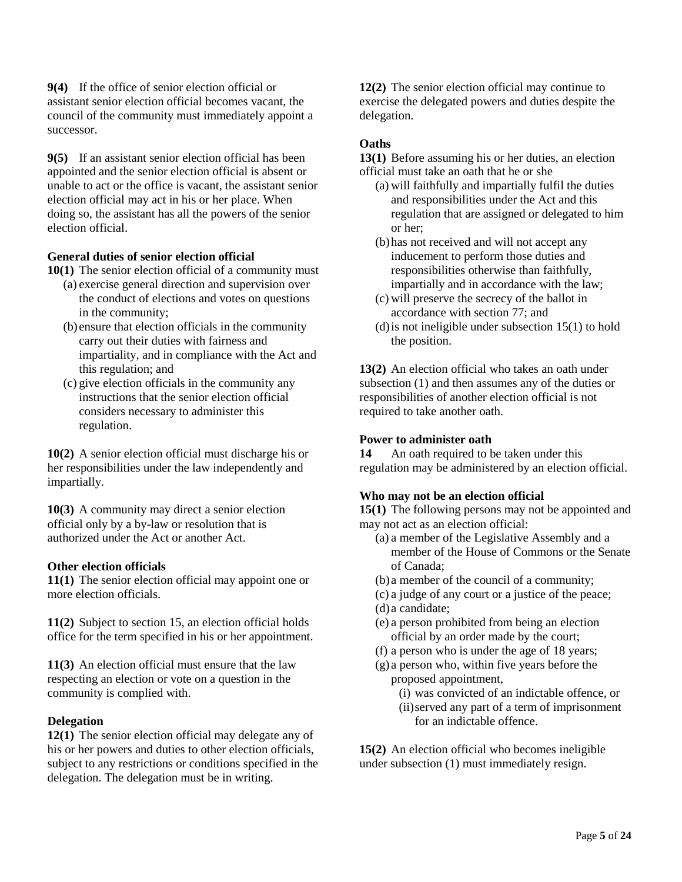**9(4)** If the office of senior election official or assistant senior election official becomes vacant, the council of the community must immediately appoint a successor.

**9(5)** If an assistant senior election official has been appointed and the senior election official is absent or unable to act or the office is vacant, the assistant senior election official may act in his or her place. When doing so, the assistant has all the powers of the senior election official.

# **General duties of senior election official**

- **10(1)** The senior election official of a community must
	- (a) exercise general direction and supervision over the conduct of elections and votes on questions in the community;
	- (b) ensure that election officials in the community carry out their duties with fairness and impartiality, and in compliance with the Act and this regulation; and
	- (c) give election officials in the community any instructions that the senior election official considers necessary to administer this regulation.

**10(2)** A senior election official must discharge his or her responsibilities under the law independently and impartially.

**10(3)** A community may direct a senior election official only by a by-law or resolution that is authorized under the Act or another Act.

# **Other election officials**

**11(1)** The senior election official may appoint one or more election officials.

**11(2)** Subject to section 15, an election official holds office for the term specified in his or her appointment.

**11(3)** An election official must ensure that the law respecting an election or vote on a question in the community is complied with.

# **Delegation**

**12(1)** The senior election official may delegate any of his or her powers and duties to other election officials, subject to any restrictions or conditions specified in the delegation. The delegation must be in writing.

**12(2)** The senior election official may continue to exercise the delegated powers and duties despite the delegation.

# **Oaths**

**13(1)** Before assuming his or her duties, an election official must take an oath that he or she

- (a) will faithfully and impartially fulfil the duties and responsibilities under the Act and this regulation that are assigned or delegated to him or her;
- (b)has not received and will not accept any inducement to perform those duties and responsibilities otherwise than faithfully, impartially and in accordance with the law;
- (c) will preserve the secrecy of the ballot in accordance with section 77; and
- (d)is not ineligible under subsection 15(1) to hold the position.

**13(2)** An election official who takes an oath under subsection (1) and then assumes any of the duties or responsibilities of another election official is not required to take another oath.

# **Power to administer oath**

**14** An oath required to be taken under this regulation may be administered by an election official.

# **Who may not be an election official**

**15(1)** The following persons may not be appointed and may not act as an election official:

- (a) a member of the Legislative Assembly and a member of the House of Commons or the Senate of Canada;
- (b) a member of the council of a community;
- (c) a judge of any court or a justice of the peace;
- (d) a candidate;
- (e) a person prohibited from being an election official by an order made by the court;
- (f) a person who is under the age of 18 years;
- (g) a person who, within five years before the proposed appointment,
	- (i) was convicted of an indictable offence, or
	- (ii)served any part of a term of imprisonment for an indictable offence.

**15(2)** An election official who becomes ineligible under subsection (1) must immediately resign.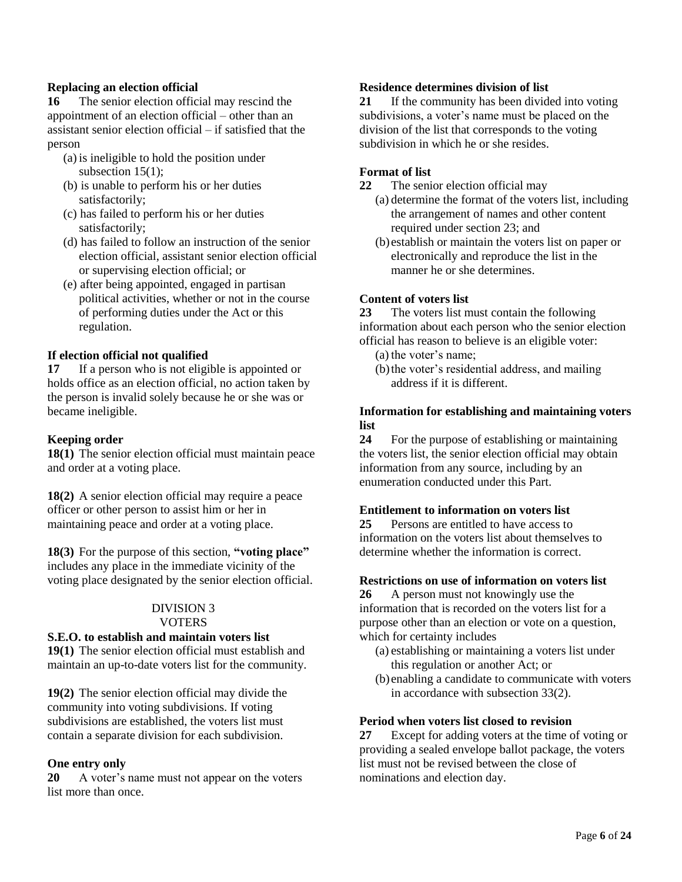# **Replacing an election official**

**16** The senior election official may rescind the appointment of an election official – other than an assistant senior election official – if satisfied that the person

- (a) is ineligible to hold the position under subsection 15(1);
- (b) is unable to perform his or her duties satisfactorily;
- (c) has failed to perform his or her duties satisfactorily;
- (d) has failed to follow an instruction of the senior election official, assistant senior election official or supervising election official; or
- (e) after being appointed, engaged in partisan political activities, whether or not in the course of performing duties under the Act or this regulation.

# **If election official not qualified**

**17** If a person who is not eligible is appointed or holds office as an election official, no action taken by the person is invalid solely because he or she was or became ineligible.

# **Keeping order**

**18(1)** The senior election official must maintain peace and order at a voting place.

**18(2)** A senior election official may require a peace officer or other person to assist him or her in maintaining peace and order at a voting place.

**18(3)** For the purpose of this section, **"voting place"** includes any place in the immediate vicinity of the voting place designated by the senior election official.

#### DIVISION 3 **VOTERS**

# **S.E.O. to establish and maintain voters list**

**19(1)** The senior election official must establish and maintain an up-to-date voters list for the community.

**19(2)** The senior election official may divide the community into voting subdivisions. If voting subdivisions are established, the voters list must contain a separate division for each subdivision.

# **One entry only**

**20** A voter's name must not appear on the voters list more than once.

# **Residence determines division of list**

**21** If the community has been divided into voting subdivisions, a voter's name must be placed on the division of the list that corresponds to the voting subdivision in which he or she resides.

# **Format of list**

- **22** The senior election official may
	- (a) determine the format of the voters list, including the arrangement of names and other content required under section 23; and
	- (b) establish or maintain the voters list on paper or electronically and reproduce the list in the manner he or she determines.

# **Content of voters list**

**23** The voters list must contain the following information about each person who the senior election official has reason to believe is an eligible voter:

- (a) the voter's name;
- (b)the voter's residential address, and mailing address if it is different.

# **Information for establishing and maintaining voters list**

**24** For the purpose of establishing or maintaining the voters list, the senior election official may obtain information from any source, including by an enumeration conducted under this Part.

# **Entitlement to information on voters list**

**25** Persons are entitled to have access to information on the voters list about themselves to determine whether the information is correct.

# **Restrictions on use of information on voters list**

**26** A person must not knowingly use the information that is recorded on the voters list for a purpose other than an election or vote on a question, which for certainty includes

- (a) establishing or maintaining a voters list under this regulation or another Act; or
- (b) enabling a candidate to communicate with voters in accordance with subsection 33(2).

# **Period when voters list closed to revision**

**27** Except for adding voters at the time of voting or providing a sealed envelope ballot package, the voters list must not be revised between the close of nominations and election day.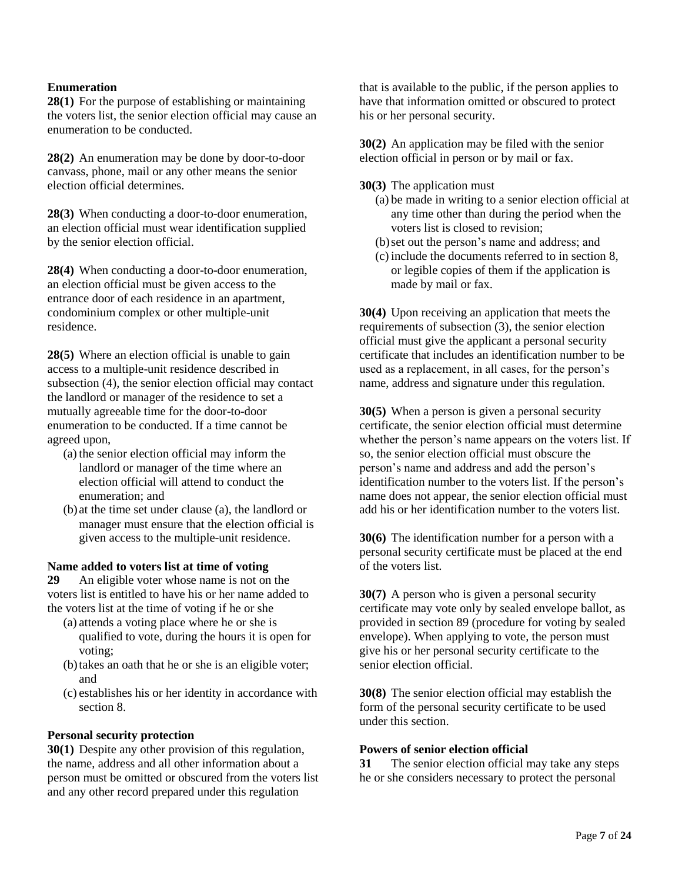# **Enumeration**

**28(1)** For the purpose of establishing or maintaining the voters list, the senior election official may cause an enumeration to be conducted.

**28(2)** An enumeration may be done by door-to-door canvass, phone, mail or any other means the senior election official determines.

**28(3)** When conducting a door-to-door enumeration, an election official must wear identification supplied by the senior election official.

**28(4)** When conducting a door-to-door enumeration, an election official must be given access to the entrance door of each residence in an apartment, condominium complex or other multiple-unit residence.

**28(5)** Where an election official is unable to gain access to a multiple-unit residence described in subsection (4), the senior election official may contact the landlord or manager of the residence to set a mutually agreeable time for the door-to-door enumeration to be conducted. If a time cannot be agreed upon,

- (a) the senior election official may inform the landlord or manager of the time where an election official will attend to conduct the enumeration; and
- (b) at the time set under clause (a), the landlord or manager must ensure that the election official is given access to the multiple-unit residence.

#### **Name added to voters list at time of voting**

**29** An eligible voter whose name is not on the voters list is entitled to have his or her name added to the voters list at the time of voting if he or she

- (a) attends a voting place where he or she is qualified to vote, during the hours it is open for voting;
- (b)takes an oath that he or she is an eligible voter; and
- (c) establishes his or her identity in accordance with section 8.

# **Personal security protection**

**30(1)** Despite any other provision of this regulation, the name, address and all other information about a person must be omitted or obscured from the voters list and any other record prepared under this regulation

that is available to the public, if the person applies to have that information omitted or obscured to protect his or her personal security.

**30(2)** An application may be filed with the senior election official in person or by mail or fax.

**30(3)** The application must

- (a) be made in writing to a senior election official at any time other than during the period when the voters list is closed to revision;
- (b)set out the person's name and address; and
- (c) include the documents referred to in section 8, or legible copies of them if the application is made by mail or fax.

**30(4)** Upon receiving an application that meets the requirements of subsection (3), the senior election official must give the applicant a personal security certificate that includes an identification number to be used as a replacement, in all cases, for the person's name, address and signature under this regulation.

**30(5)** When a person is given a personal security certificate, the senior election official must determine whether the person's name appears on the voters list. If so, the senior election official must obscure the person's name and address and add the person's identification number to the voters list. If the person's name does not appear, the senior election official must add his or her identification number to the voters list.

**30(6)** The identification number for a person with a personal security certificate must be placed at the end of the voters list.

**30(7)** A person who is given a personal security certificate may vote only by sealed envelope ballot, as provided in section 89 (procedure for voting by sealed envelope). When applying to vote, the person must give his or her personal security certificate to the senior election official.

**30(8)** The senior election official may establish the form of the personal security certificate to be used under this section.

#### **Powers of senior election official**

**31** The senior election official may take any steps he or she considers necessary to protect the personal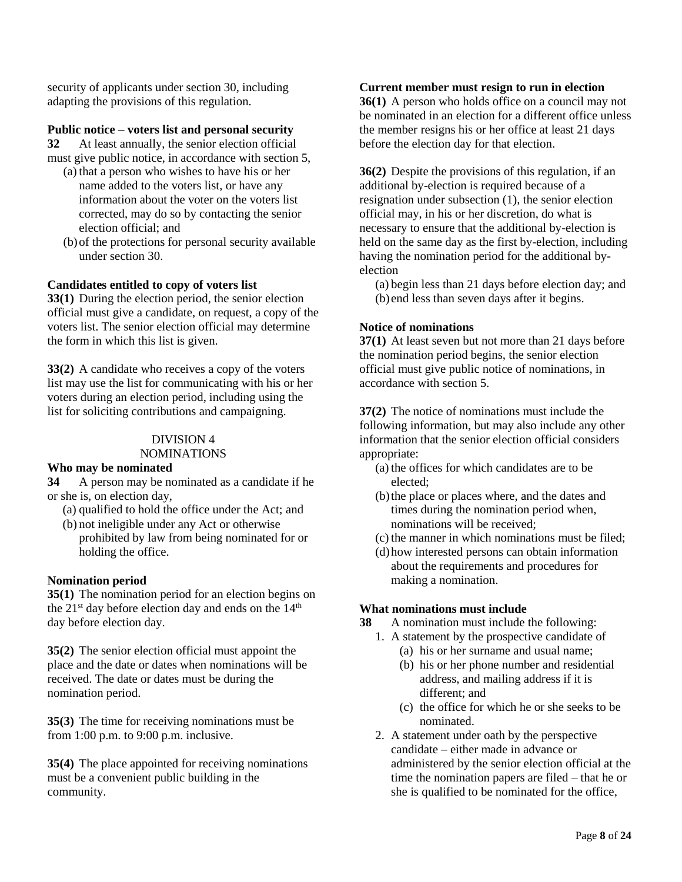security of applicants under section 30, including adapting the provisions of this regulation.

# **Public notice – voters list and personal security**

**32** At least annually, the senior election official must give public notice, in accordance with section 5,

- (a) that a person who wishes to have his or her name added to the voters list, or have any information about the voter on the voters list corrected, may do so by contacting the senior election official; and
- (b)of the protections for personal security available under section 30.

# **Candidates entitled to copy of voters list**

**33(1)** During the election period, the senior election official must give a candidate, on request, a copy of the voters list. The senior election official may determine the form in which this list is given.

**33(2)** A candidate who receives a copy of the voters list may use the list for communicating with his or her voters during an election period, including using the list for soliciting contributions and campaigning.

#### DIVISION 4

#### NOMINATIONS

# **Who may be nominated**

**34** A person may be nominated as a candidate if he or she is, on election day,

- (a) qualified to hold the office under the Act; and
- (b) not ineligible under any Act or otherwise prohibited by law from being nominated for or holding the office.

# **Nomination period**

**35(1)** The nomination period for an election begins on the  $21<sup>st</sup>$  day before election day and ends on the  $14<sup>th</sup>$ day before election day.

**35(2)** The senior election official must appoint the place and the date or dates when nominations will be received. The date or dates must be during the nomination period.

**35(3)** The time for receiving nominations must be from 1:00 p.m. to 9:00 p.m. inclusive.

**35(4)** The place appointed for receiving nominations must be a convenient public building in the community.

#### **Current member must resign to run in election**

**36(1)** A person who holds office on a council may not be nominated in an election for a different office unless the member resigns his or her office at least 21 days before the election day for that election.

**36(2)** Despite the provisions of this regulation, if an additional by-election is required because of a resignation under subsection (1), the senior election official may, in his or her discretion, do what is necessary to ensure that the additional by-election is held on the same day as the first by-election, including having the nomination period for the additional byelection

(a) begin less than 21 days before election day; and (b) end less than seven days after it begins.

# **Notice of nominations**

**37(1)** At least seven but not more than 21 days before the nomination period begins, the senior election official must give public notice of nominations, in accordance with section 5.

**37(2)** The notice of nominations must include the following information, but may also include any other information that the senior election official considers appropriate:

- (a) the offices for which candidates are to be elected;
- (b)the place or places where, and the dates and times during the nomination period when, nominations will be received;
- (c) the manner in which nominations must be filed;
- (d)how interested persons can obtain information about the requirements and procedures for making a nomination.

# **What nominations must include**

**38** A nomination must include the following:

- 1. A statement by the prospective candidate of
	- (a) his or her surname and usual name;
	- (b) his or her phone number and residential address, and mailing address if it is different; and
	- (c) the office for which he or she seeks to be nominated.
- 2. A statement under oath by the perspective candidate – either made in advance or administered by the senior election official at the time the nomination papers are filed – that he or she is qualified to be nominated for the office,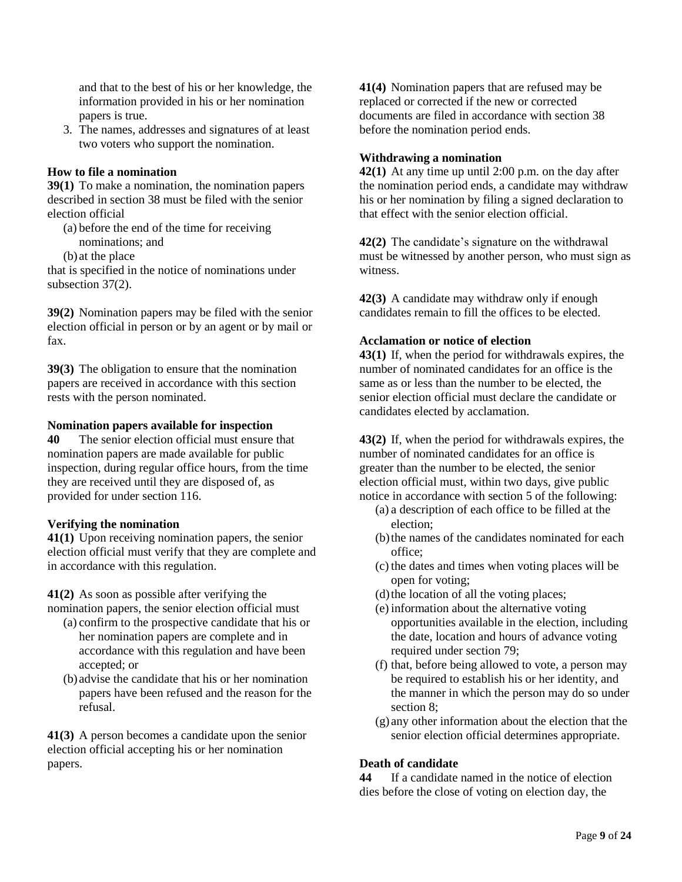and that to the best of his or her knowledge, the information provided in his or her nomination papers is true.

3. The names, addresses and signatures of at least two voters who support the nomination.

# **How to file a nomination**

**39(1)** To make a nomination, the nomination papers described in section 38 must be filed with the senior election official

- (a) before the end of the time for receiving nominations; and
- (b) at the place

that is specified in the notice of nominations under subsection 37(2).

**39(2)** Nomination papers may be filed with the senior election official in person or by an agent or by mail or fax.

**39(3)** The obligation to ensure that the nomination papers are received in accordance with this section rests with the person nominated.

# **Nomination papers available for inspection**

**40** The senior election official must ensure that nomination papers are made available for public inspection, during regular office hours, from the time they are received until they are disposed of, as provided for under section 116.

# **Verifying the nomination**

**41(1)** Upon receiving nomination papers, the senior election official must verify that they are complete and in accordance with this regulation.

**41(2)** As soon as possible after verifying the nomination papers, the senior election official must

- (a) confirm to the prospective candidate that his or her nomination papers are complete and in accordance with this regulation and have been accepted; or
- (b) advise the candidate that his or her nomination papers have been refused and the reason for the refusal.

**41(3)** A person becomes a candidate upon the senior election official accepting his or her nomination papers.

**41(4)** Nomination papers that are refused may be replaced or corrected if the new or corrected documents are filed in accordance with section 38 before the nomination period ends.

# **Withdrawing a nomination**

**42(1)** At any time up until 2:00 p.m. on the day after the nomination period ends, a candidate may withdraw his or her nomination by filing a signed declaration to that effect with the senior election official.

**42(2)** The candidate's signature on the withdrawal must be witnessed by another person, who must sign as witness.

**42(3)** A candidate may withdraw only if enough candidates remain to fill the offices to be elected.

# **Acclamation or notice of election**

**43(1)** If, when the period for withdrawals expires, the number of nominated candidates for an office is the same as or less than the number to be elected, the senior election official must declare the candidate or candidates elected by acclamation.

**43(2)** If, when the period for withdrawals expires, the number of nominated candidates for an office is greater than the number to be elected, the senior election official must, within two days, give public notice in accordance with section 5 of the following:

- (a) a description of each office to be filled at the election;
- (b)the names of the candidates nominated for each office;
- (c) the dates and times when voting places will be open for voting;
- (d)the location of all the voting places;
- (e) information about the alternative voting opportunities available in the election, including the date, location and hours of advance voting required under section 79;
- (f) that, before being allowed to vote, a person may be required to establish his or her identity, and the manner in which the person may do so under section 8:
- (g) any other information about the election that the senior election official determines appropriate.

# **Death of candidate**

**44** If a candidate named in the notice of election dies before the close of voting on election day, the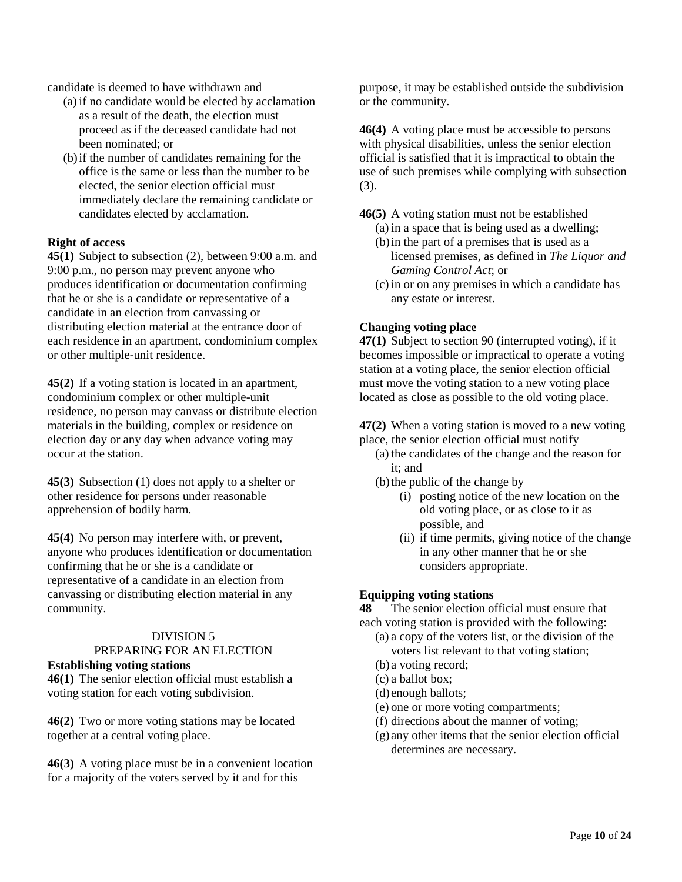candidate is deemed to have withdrawn and

- (a) if no candidate would be elected by acclamation as a result of the death, the election must proceed as if the deceased candidate had not been nominated; or
- (b)if the number of candidates remaining for the office is the same or less than the number to be elected, the senior election official must immediately declare the remaining candidate or candidates elected by acclamation.

# **Right of access**

**45(1)** Subject to subsection (2), between 9:00 a.m. and 9:00 p.m., no person may prevent anyone who produces identification or documentation confirming that he or she is a candidate or representative of a candidate in an election from canvassing or distributing election material at the entrance door of each residence in an apartment, condominium complex or other multiple-unit residence.

**45(2)** If a voting station is located in an apartment, condominium complex or other multiple-unit residence, no person may canvass or distribute election materials in the building, complex or residence on election day or any day when advance voting may occur at the station.

**45(3)** Subsection (1) does not apply to a shelter or other residence for persons under reasonable apprehension of bodily harm.

**45(4)** No person may interfere with, or prevent, anyone who produces identification or documentation confirming that he or she is a candidate or representative of a candidate in an election from canvassing or distributing election material in any community.

# DIVISION 5

#### PREPARING FOR AN ELECTION **Establishing voting stations**

**46(1)** The senior election official must establish a

voting station for each voting subdivision.

**46(2)** Two or more voting stations may be located together at a central voting place.

**46(3)** A voting place must be in a convenient location for a majority of the voters served by it and for this

purpose, it may be established outside the subdivision or the community.

**46(4)** A voting place must be accessible to persons with physical disabilities, unless the senior election official is satisfied that it is impractical to obtain the use of such premises while complying with subsection (3).

**46(5)** A voting station must not be established

- (a) in a space that is being used as a dwelling;
- (b)in the part of a premises that is used as a licensed premises, as defined in *The Liquor and Gaming Control Act*; or
- (c) in or on any premises in which a candidate has any estate or interest.

# **Changing voting place**

**47(1)** Subject to section 90 (interrupted voting), if it becomes impossible or impractical to operate a voting station at a voting place, the senior election official must move the voting station to a new voting place located as close as possible to the old voting place.

**47(2)** When a voting station is moved to a new voting place, the senior election official must notify

- (a) the candidates of the change and the reason for it; and
- (b)the public of the change by
	- (i) posting notice of the new location on the old voting place, or as close to it as possible, and
	- (ii) if time permits, giving notice of the change in any other manner that he or she considers appropriate.

# **Equipping voting stations**

**48** The senior election official must ensure that each voting station is provided with the following:

- (a) a copy of the voters list, or the division of the voters list relevant to that voting station;
- (b) a voting record;
- (c) a ballot box;
- (d) enough ballots;
- (e) one or more voting compartments;
- (f) directions about the manner of voting;
- (g) any other items that the senior election official determines are necessary.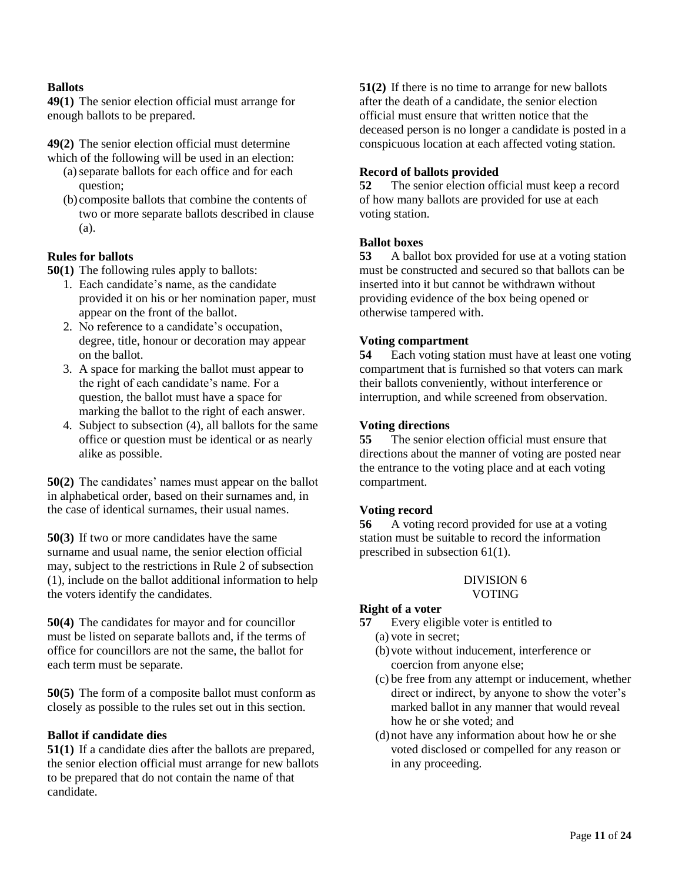# **Ballots**

**49(1)** The senior election official must arrange for enough ballots to be prepared.

**49(2)** The senior election official must determine which of the following will be used in an election:

- (a)separate ballots for each office and for each question;
- (b) composite ballots that combine the contents of two or more separate ballots described in clause (a).

# **Rules for ballots**

**50(1)** The following rules apply to ballots:

- 1. Each candidate's name, as the candidate provided it on his or her nomination paper, must appear on the front of the ballot.
- 2. No reference to a candidate's occupation, degree, title, honour or decoration may appear on the ballot.
- 3. A space for marking the ballot must appear to the right of each candidate's name. For a question, the ballot must have a space for marking the ballot to the right of each answer.
- 4. Subject to subsection (4), all ballots for the same office or question must be identical or as nearly alike as possible.

**50(2)** The candidates' names must appear on the ballot in alphabetical order, based on their surnames and, in the case of identical surnames, their usual names.

**50(3)** If two or more candidates have the same surname and usual name, the senior election official may, subject to the restrictions in Rule 2 of subsection (1), include on the ballot additional information to help the voters identify the candidates.

**50(4)** The candidates for mayor and for councillor must be listed on separate ballots and, if the terms of office for councillors are not the same, the ballot for each term must be separate.

**50(5)** The form of a composite ballot must conform as closely as possible to the rules set out in this section.

# **Ballot if candidate dies**

**51(1)** If a candidate dies after the ballots are prepared, the senior election official must arrange for new ballots to be prepared that do not contain the name of that candidate.

**51(2)** If there is no time to arrange for new ballots after the death of a candidate, the senior election official must ensure that written notice that the deceased person is no longer a candidate is posted in a conspicuous location at each affected voting station.

# **Record of ballots provided**

**52** The senior election official must keep a record of how many ballots are provided for use at each voting station.

# **Ballot boxes**

**53** A ballot box provided for use at a voting station must be constructed and secured so that ballots can be inserted into it but cannot be withdrawn without providing evidence of the box being opened or otherwise tampered with.

# **Voting compartment**

**54** Each voting station must have at least one voting compartment that is furnished so that voters can mark their ballots conveniently, without interference or interruption, and while screened from observation.

#### **Voting directions**

**55** The senior election official must ensure that directions about the manner of voting are posted near the entrance to the voting place and at each voting compartment.

# **Voting record**

**56** A voting record provided for use at a voting station must be suitable to record the information prescribed in subsection 61(1).

#### DIVISION 6 VOTING

# **Right of a voter**

- **57** Every eligible voter is entitled to
	- (a) vote in secret;
	- (b)vote without inducement, interference or coercion from anyone else;
	- (c) be free from any attempt or inducement, whether direct or indirect, by anyone to show the voter's marked ballot in any manner that would reveal how he or she voted; and
	- (d)not have any information about how he or she voted disclosed or compelled for any reason or in any proceeding.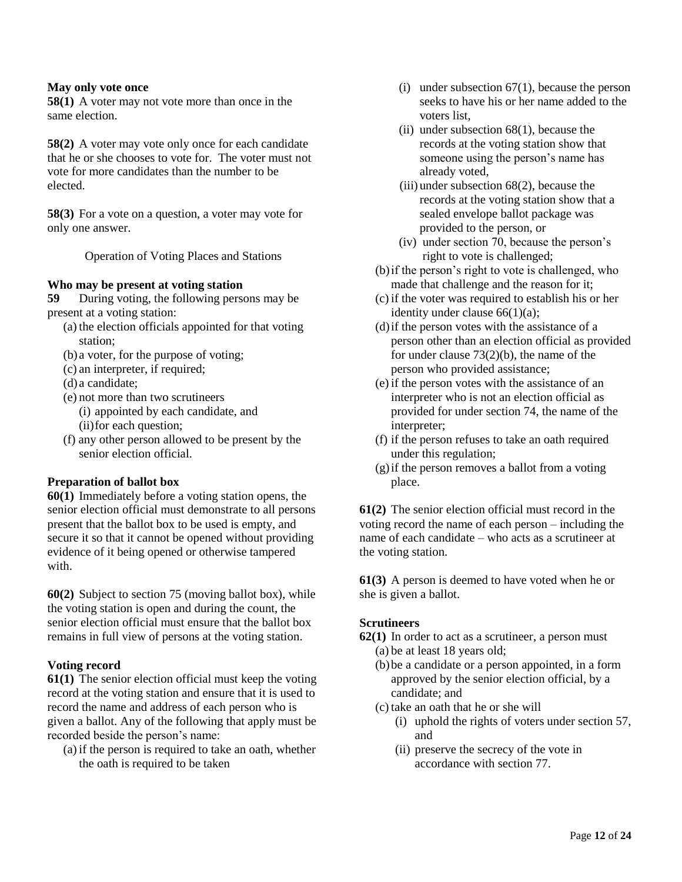#### **May only vote once**

**58(1)** A voter may not vote more than once in the same election.

**58(2)** A voter may vote only once for each candidate that he or she chooses to vote for. The voter must not vote for more candidates than the number to be elected.

**58(3)** For a vote on a question, a voter may vote for only one answer.

Operation of Voting Places and Stations

# **Who may be present at voting station**

**59** During voting, the following persons may be present at a voting station:

- (a) the election officials appointed for that voting station;
- (b) a voter, for the purpose of voting;
- (c) an interpreter, if required;
- (d) a candidate;
- (e) not more than two scrutineers
	- (i) appointed by each candidate, and (ii)for each question;
- (f) any other person allowed to be present by the senior election official.

# **Preparation of ballot box**

**60(1)** Immediately before a voting station opens, the senior election official must demonstrate to all persons present that the ballot box to be used is empty, and secure it so that it cannot be opened without providing evidence of it being opened or otherwise tampered with.

**60(2)** Subject to section 75 (moving ballot box), while the voting station is open and during the count, the senior election official must ensure that the ballot box remains in full view of persons at the voting station.

# **Voting record**

**61(1)** The senior election official must keep the voting record at the voting station and ensure that it is used to record the name and address of each person who is given a ballot. Any of the following that apply must be recorded beside the person's name:

(a) if the person is required to take an oath, whether the oath is required to be taken

- (i) under subsection 67(1), because the person seeks to have his or her name added to the voters list,
- (ii) under subsection 68(1), because the records at the voting station show that someone using the person's name has already voted,
- (iii) under subsection 68(2), because the records at the voting station show that a sealed envelope ballot package was provided to the person, or
- (iv) under section 70, because the person's right to vote is challenged;
- (b)if the person's right to vote is challenged, who made that challenge and the reason for it;
- (c) if the voter was required to establish his or her identity under clause 66(1)(a);
- (d)if the person votes with the assistance of a person other than an election official as provided for under clause 73(2)(b), the name of the person who provided assistance;
- (e) if the person votes with the assistance of an interpreter who is not an election official as provided for under section 74, the name of the interpreter;
- (f) if the person refuses to take an oath required under this regulation;
- (g)if the person removes a ballot from a voting place.

**61(2)** The senior election official must record in the voting record the name of each person – including the name of each candidate – who acts as a scrutineer at the voting station.

**61(3)** A person is deemed to have voted when he or she is given a ballot.

# **Scrutineers**

- **62(1)** In order to act as a scrutineer, a person must (a) be at least 18 years old;
	- (b)be a candidate or a person appointed, in a form approved by the senior election official, by a candidate; and
	- (c) take an oath that he or she will
		- (i) uphold the rights of voters under section 57, and
		- (ii) preserve the secrecy of the vote in accordance with section 77.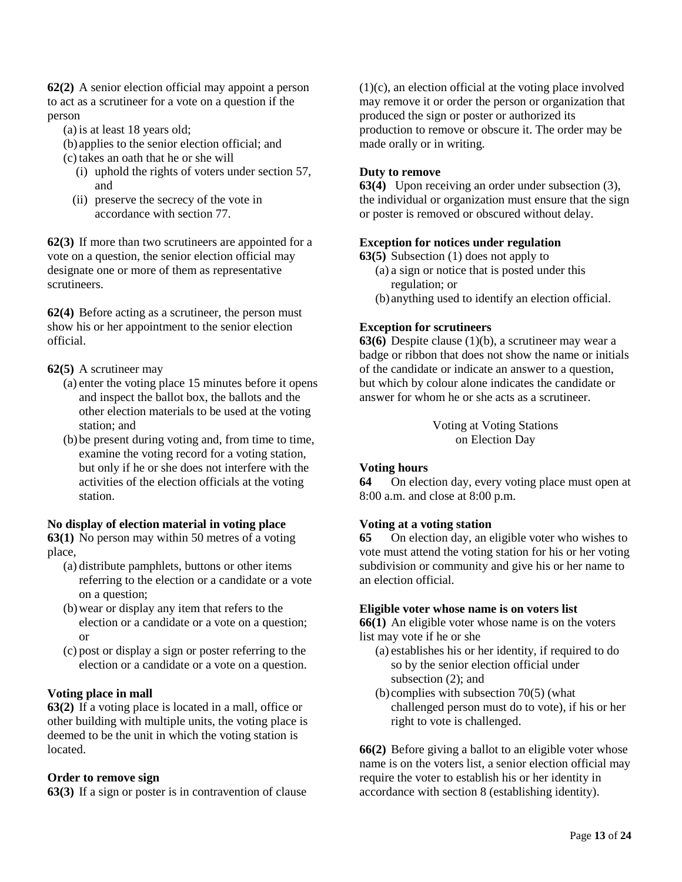**62(2)** A senior election official may appoint a person to act as a scrutineer for a vote on a question if the person

- (a) is at least 18 years old;
- (b) applies to the senior election official; and
- (c) takes an oath that he or she will
	- (i) uphold the rights of voters under section 57, and
	- (ii) preserve the secrecy of the vote in accordance with section 77.

**62(3)** If more than two scrutineers are appointed for a vote on a question, the senior election official may designate one or more of them as representative scrutineers.

**62(4)** Before acting as a scrutineer, the person must show his or her appointment to the senior election official.

# **62(5)** A scrutineer may

- (a) enter the voting place 15 minutes before it opens and inspect the ballot box, the ballots and the other election materials to be used at the voting station; and
- (b)be present during voting and, from time to time, examine the voting record for a voting station, but only if he or she does not interfere with the activities of the election officials at the voting station.

# **No display of election material in voting place**

**63(1)** No person may within 50 metres of a voting place,

- (a) distribute pamphlets, buttons or other items referring to the election or a candidate or a vote on a question;
- (b)wear or display any item that refers to the election or a candidate or a vote on a question; or
- (c) post or display a sign or poster referring to the election or a candidate or a vote on a question.

# **Voting place in mall**

**63(2)** If a voting place is located in a mall, office or other building with multiple units, the voting place is deemed to be the unit in which the voting station is located.

# **Order to remove sign**

**63(3)** If a sign or poster is in contravention of clause

(1)(c), an election official at the voting place involved may remove it or order the person or organization that produced the sign or poster or authorized its production to remove or obscure it. The order may be made orally or in writing.

# **Duty to remove**

**63(4)** Upon receiving an order under subsection (3), the individual or organization must ensure that the sign or poster is removed or obscured without delay.

# **Exception for notices under regulation**

**63(5)** Subsection (1) does not apply to

- (a) a sign or notice that is posted under this regulation; or
- (b) anything used to identify an election official.

# **Exception for scrutineers**

**63(6)** Despite clause (1)(b), a scrutineer may wear a badge or ribbon that does not show the name or initials of the candidate or indicate an answer to a question, but which by colour alone indicates the candidate or answer for whom he or she acts as a scrutineer.

> Voting at Voting Stations on Election Day

# **Voting hours**

**64** On election day, every voting place must open at 8:00 a.m. and close at 8:00 p.m.

# **Voting at a voting station**

**65** On election day, an eligible voter who wishes to vote must attend the voting station for his or her voting subdivision or community and give his or her name to an election official.

# **Eligible voter whose name is on voters list**

**66(1)** An eligible voter whose name is on the voters list may vote if he or she

- (a) establishes his or her identity, if required to do so by the senior election official under subsection (2); and
- (b) complies with subsection 70(5) (what challenged person must do to vote), if his or her right to vote is challenged.

**66(2)** Before giving a ballot to an eligible voter whose name is on the voters list, a senior election official may require the voter to establish his or her identity in accordance with section 8 (establishing identity).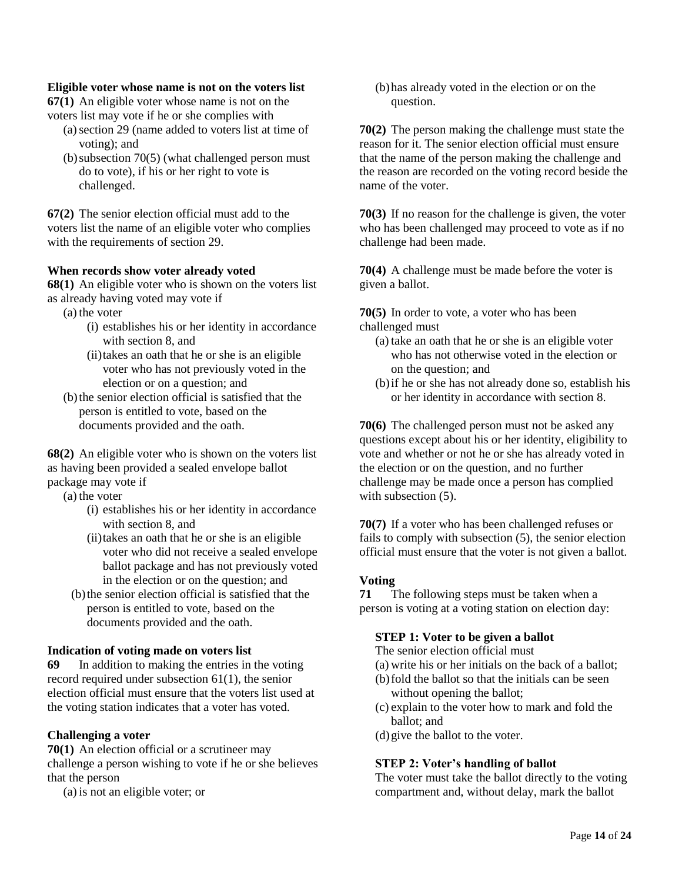# **Eligible voter whose name is not on the voters list**

**67(1)** An eligible voter whose name is not on the voters list may vote if he or she complies with

- (a)section 29 (name added to voters list at time of voting); and
- $(b)$  subsection 70(5) (what challenged person must do to vote), if his or her right to vote is challenged.

**67(2)** The senior election official must add to the voters list the name of an eligible voter who complies with the requirements of section 29.

# **When records show voter already voted**

**68(1)** An eligible voter who is shown on the voters list as already having voted may vote if

- (a) the voter
	- (i) establishes his or her identity in accordance with section 8, and
	- (ii)takes an oath that he or she is an eligible voter who has not previously voted in the election or on a question; and
- (b)the senior election official is satisfied that the person is entitled to vote, based on the documents provided and the oath.

**68(2)** An eligible voter who is shown on the voters list as having been provided a sealed envelope ballot package may vote if

(a) the voter

- (i) establishes his or her identity in accordance with section 8, and
- (ii)takes an oath that he or she is an eligible voter who did not receive a sealed envelope ballot package and has not previously voted in the election or on the question; and
- (b)the senior election official is satisfied that the person is entitled to vote, based on the documents provided and the oath.

# **Indication of voting made on voters list**

**69** In addition to making the entries in the voting record required under subsection 61(1), the senior election official must ensure that the voters list used at the voting station indicates that a voter has voted.

# **Challenging a voter**

**70(1)** An election official or a scrutineer may challenge a person wishing to vote if he or she believes that the person

(a) is not an eligible voter; or

(b)has already voted in the election or on the question.

**70(2)** The person making the challenge must state the reason for it. The senior election official must ensure that the name of the person making the challenge and the reason are recorded on the voting record beside the name of the voter.

**70(3)** If no reason for the challenge is given, the voter who has been challenged may proceed to vote as if no challenge had been made.

**70(4)** A challenge must be made before the voter is given a ballot.

**70(5)** In order to vote, a voter who has been challenged must

- (a) take an oath that he or she is an eligible voter who has not otherwise voted in the election or on the question; and
- (b)if he or she has not already done so, establish his or her identity in accordance with section 8.

**70(6)** The challenged person must not be asked any questions except about his or her identity, eligibility to vote and whether or not he or she has already voted in the election or on the question, and no further challenge may be made once a person has complied with subsection  $(5)$ .

**70(7)** If a voter who has been challenged refuses or fails to comply with subsection (5), the senior election official must ensure that the voter is not given a ballot.

# **Voting**

**71** The following steps must be taken when a person is voting at a voting station on election day:

# **STEP 1: Voter to be given a ballot**

The senior election official must

- (a) write his or her initials on the back of a ballot;
- (b)fold the ballot so that the initials can be seen without opening the ballot;
- (c) explain to the voter how to mark and fold the ballot; and
- (d)give the ballot to the voter.

# **STEP 2: Voter's handling of ballot**

The voter must take the ballot directly to the voting compartment and, without delay, mark the ballot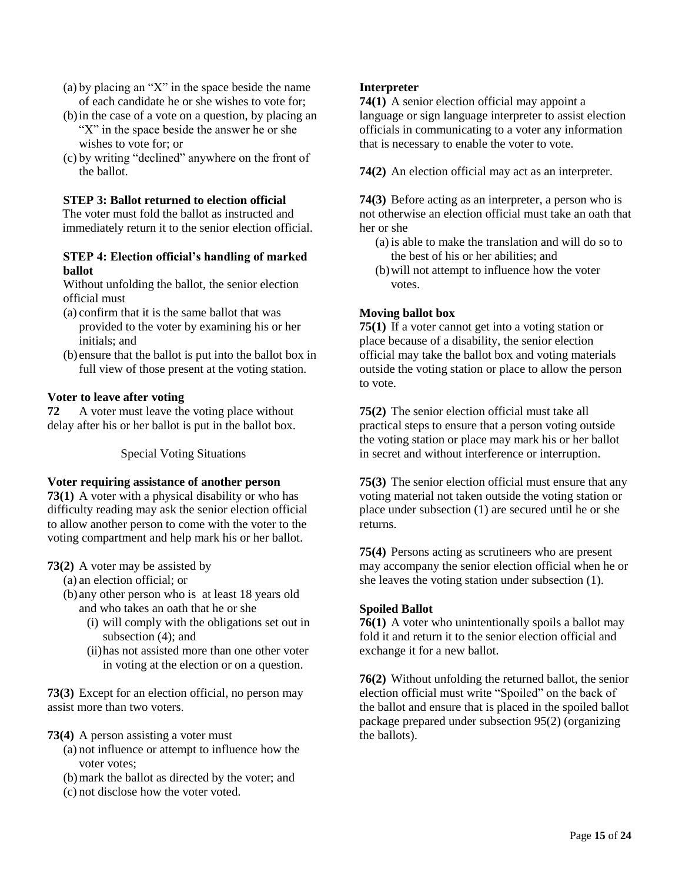- (a) by placing an "X" in the space beside the name of each candidate he or she wishes to vote for;
- (b)in the case of a vote on a question, by placing an "X" in the space beside the answer he or she wishes to vote for; or
- (c) by writing "declined" anywhere on the front of the ballot.

# **STEP 3: Ballot returned to election official**

The voter must fold the ballot as instructed and immediately return it to the senior election official.

# **STEP 4: Election official's handling of marked ballot**

Without unfolding the ballot, the senior election official must

- (a) confirm that it is the same ballot that was provided to the voter by examining his or her initials; and
- (b) ensure that the ballot is put into the ballot box in full view of those present at the voting station.

# **Voter to leave after voting**

**72** A voter must leave the voting place without delay after his or her ballot is put in the ballot box.

Special Voting Situations

# **Voter requiring assistance of another person**

**73(1)** A voter with a physical disability or who has difficulty reading may ask the senior election official to allow another person to come with the voter to the voting compartment and help mark his or her ballot.

# **73(2)** A voter may be assisted by

(a) an election official; or

(b) any other person who is at least 18 years old and who takes an oath that he or she

- (i) will comply with the obligations set out in subsection (4); and
- (ii)has not assisted more than one other voter in voting at the election or on a question.

**73(3)** Except for an election official, no person may assist more than two voters.

# **73(4)** A person assisting a voter must

- (a) not influence or attempt to influence how the voter votes;
- (b)mark the ballot as directed by the voter; and
- (c) not disclose how the voter voted.

# **Interpreter**

**74(1)** A senior election official may appoint a language or sign language interpreter to assist election officials in communicating to a voter any information that is necessary to enable the voter to vote.

**74(2)** An election official may act as an interpreter.

**74(3)** Before acting as an interpreter, a person who is not otherwise an election official must take an oath that her or she

- (a) is able to make the translation and will do so to the best of his or her abilities; and
- (b)will not attempt to influence how the voter votes.

# **Moving ballot box**

**75(1)** If a voter cannot get into a voting station or place because of a disability, the senior election official may take the ballot box and voting materials outside the voting station or place to allow the person to vote.

**75(2)** The senior election official must take all practical steps to ensure that a person voting outside the voting station or place may mark his or her ballot in secret and without interference or interruption.

**75(3)** The senior election official must ensure that any voting material not taken outside the voting station or place under subsection (1) are secured until he or she returns.

**75(4)** Persons acting as scrutineers who are present may accompany the senior election official when he or she leaves the voting station under subsection (1).

# **Spoiled Ballot**

**76(1)** A voter who unintentionally spoils a ballot may fold it and return it to the senior election official and exchange it for a new ballot.

**76(2)** Without unfolding the returned ballot, the senior election official must write "Spoiled" on the back of the ballot and ensure that is placed in the spoiled ballot package prepared under subsection 95(2) (organizing the ballots).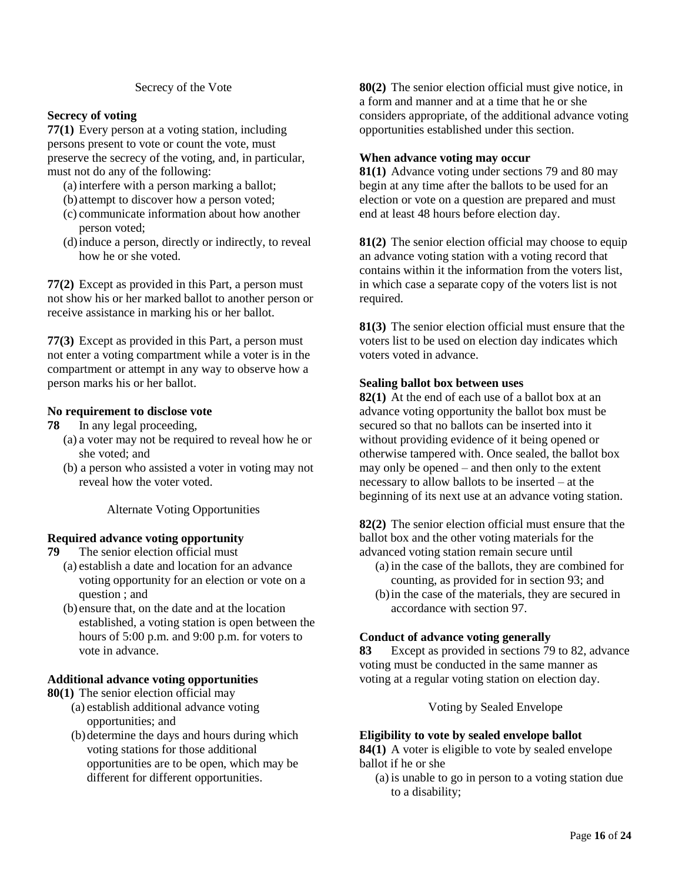#### Secrecy of the Vote

# **Secrecy of voting**

**77(1)** Every person at a voting station, including persons present to vote or count the vote, must preserve the secrecy of the voting, and, in particular, must not do any of the following:

- (a) interfere with a person marking a ballot;
- (b) attempt to discover how a person voted;
- (c) communicate information about how another person voted;
- (d)induce a person, directly or indirectly, to reveal how he or she voted.

**77(2)** Except as provided in this Part, a person must not show his or her marked ballot to another person or receive assistance in marking his or her ballot.

**77(3)** Except as provided in this Part, a person must not enter a voting compartment while a voter is in the compartment or attempt in any way to observe how a person marks his or her ballot.

#### **No requirement to disclose vote**

- **78** In any legal proceeding,
	- (a) a voter may not be required to reveal how he or she voted; and
	- (b) a person who assisted a voter in voting may not reveal how the voter voted.

Alternate Voting Opportunities

# **Required advance voting opportunity**

- **79** The senior election official must
	- (a) establish a date and location for an advance voting opportunity for an election or vote on a question ; and
	- (b) ensure that, on the date and at the location established, a voting station is open between the hours of 5:00 p.m. and 9:00 p.m. for voters to vote in advance.

#### **Additional advance voting opportunities**

- **80(1)** The senior election official may
	- (a) establish additional advance voting opportunities; and
	- (b)determine the days and hours during which voting stations for those additional opportunities are to be open, which may be different for different opportunities.

**80(2)** The senior election official must give notice, in a form and manner and at a time that he or she considers appropriate, of the additional advance voting opportunities established under this section.

#### **When advance voting may occur**

**81(1)** Advance voting under sections 79 and 80 may begin at any time after the ballots to be used for an election or vote on a question are prepared and must end at least 48 hours before election day.

**81(2)** The senior election official may choose to equip an advance voting station with a voting record that contains within it the information from the voters list, in which case a separate copy of the voters list is not required.

**81(3)** The senior election official must ensure that the voters list to be used on election day indicates which voters voted in advance.

#### **Sealing ballot box between uses**

**82(1)** At the end of each use of a ballot box at an advance voting opportunity the ballot box must be secured so that no ballots can be inserted into it without providing evidence of it being opened or otherwise tampered with. Once sealed, the ballot box may only be opened – and then only to the extent necessary to allow ballots to be inserted – at the beginning of its next use at an advance voting station.

**82(2)** The senior election official must ensure that the ballot box and the other voting materials for the advanced voting station remain secure until

- (a) in the case of the ballots, they are combined for counting, as provided for in section 93; and
- (b)in the case of the materials, they are secured in accordance with section 97.

# **Conduct of advance voting generally**

**83** Except as provided in sections 79 to 82, advance voting must be conducted in the same manner as voting at a regular voting station on election day.

Voting by Sealed Envelope

#### **Eligibility to vote by sealed envelope ballot**

**84(1)** A voter is eligible to vote by sealed envelope ballot if he or she

(a) is unable to go in person to a voting station due to a disability;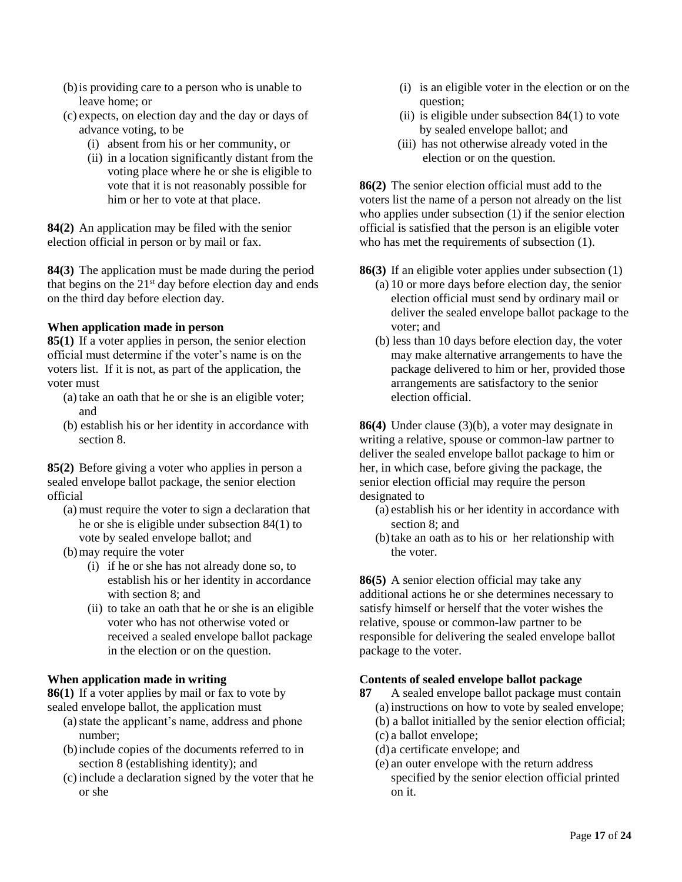- (b)is providing care to a person who is unable to leave home; or
- (c) expects, on election day and the day or days of advance voting, to be
	- (i) absent from his or her community, or
	- (ii) in a location significantly distant from the voting place where he or she is eligible to vote that it is not reasonably possible for him or her to vote at that place.

**84(2)** An application may be filed with the senior election official in person or by mail or fax.

**84(3)** The application must be made during the period that begins on the  $21<sup>st</sup>$  day before election day and ends on the third day before election day.

# **When application made in person**

**85(1)** If a voter applies in person, the senior election official must determine if the voter's name is on the voters list. If it is not, as part of the application, the voter must

- (a) take an oath that he or she is an eligible voter; and
- (b) establish his or her identity in accordance with section 8.

**85(2)** Before giving a voter who applies in person a sealed envelope ballot package, the senior election official

- (a) must require the voter to sign a declaration that he or she is eligible under subsection 84(1) to vote by sealed envelope ballot; and
- (b)may require the voter
	- (i) if he or she has not already done so, to establish his or her identity in accordance with section 8; and
	- (ii) to take an oath that he or she is an eligible voter who has not otherwise voted or received a sealed envelope ballot package in the election or on the question.

# **When application made in writing**

**86(1)** If a voter applies by mail or fax to vote by sealed envelope ballot, the application must

- (a) state the applicant's name, address and phone number;
- (b)include copies of the documents referred to in section 8 (establishing identity); and
- (c) include a declaration signed by the voter that he or she
- (i) is an eligible voter in the election or on the question;
- (ii) is eligible under subsection 84(1) to vote by sealed envelope ballot; and
- (iii) has not otherwise already voted in the election or on the question.

**86(2)** The senior election official must add to the voters list the name of a person not already on the list who applies under subsection (1) if the senior election official is satisfied that the person is an eligible voter who has met the requirements of subsection (1).

- **86(3)** If an eligible voter applies under subsection (1)
	- (a) 10 or more days before election day, the senior election official must send by ordinary mail or deliver the sealed envelope ballot package to the voter; and
	- (b) less than 10 days before election day, the voter may make alternative arrangements to have the package delivered to him or her, provided those arrangements are satisfactory to the senior election official.

**86(4)** Under clause (3)(b), a voter may designate in writing a relative, spouse or common-law partner to deliver the sealed envelope ballot package to him or her, in which case, before giving the package, the senior election official may require the person designated to

- (a) establish his or her identity in accordance with section 8; and
- (b)take an oath as to his or her relationship with the voter.

**86(5)** A senior election official may take any additional actions he or she determines necessary to satisfy himself or herself that the voter wishes the relative, spouse or common-law partner to be responsible for delivering the sealed envelope ballot package to the voter.

# **Contents of sealed envelope ballot package**

- **87** A sealed envelope ballot package must contain (a) instructions on how to vote by sealed envelope;
	- (b) a ballot initialled by the senior election official;
	- (c) a ballot envelope;
	- (d) a certificate envelope; and
	- (e) an outer envelope with the return address specified by the senior election official printed on it.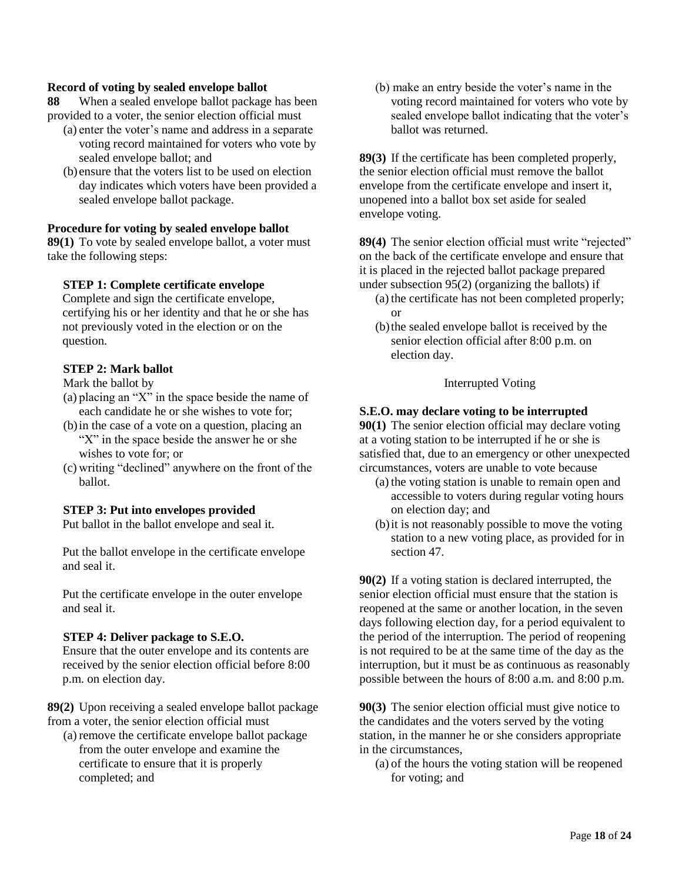#### **Record of voting by sealed envelope ballot**

**88** When a sealed envelope ballot package has been provided to a voter, the senior election official must

- (a) enter the voter's name and address in a separate voting record maintained for voters who vote by sealed envelope ballot; and
- (b) ensure that the voters list to be used on election day indicates which voters have been provided a sealed envelope ballot package.

# **Procedure for voting by sealed envelope ballot**

**89(1)** To vote by sealed envelope ballot, a voter must take the following steps:

# **STEP 1: Complete certificate envelope**

Complete and sign the certificate envelope, certifying his or her identity and that he or she has not previously voted in the election or on the question.

#### **STEP 2: Mark ballot**

Mark the ballot by

- (a) placing an "X" in the space beside the name of each candidate he or she wishes to vote for;
- (b)in the case of a vote on a question, placing an "X" in the space beside the answer he or she wishes to vote for; or
- (c) writing "declined" anywhere on the front of the ballot.

#### **STEP 3: Put into envelopes provided**

Put ballot in the ballot envelope and seal it.

Put the ballot envelope in the certificate envelope and seal it.

Put the certificate envelope in the outer envelope and seal it.

#### **STEP 4: Deliver package to S.E.O.**

Ensure that the outer envelope and its contents are received by the senior election official before 8:00 p.m. on election day.

**89(2)** Upon receiving a sealed envelope ballot package from a voter, the senior election official must

(a) remove the certificate envelope ballot package from the outer envelope and examine the certificate to ensure that it is properly completed; and

(b) make an entry beside the voter's name in the voting record maintained for voters who vote by sealed envelope ballot indicating that the voter's ballot was returned.

**89(3)** If the certificate has been completed properly, the senior election official must remove the ballot envelope from the certificate envelope and insert it, unopened into a ballot box set aside for sealed envelope voting.

**89(4)** The senior election official must write "rejected" on the back of the certificate envelope and ensure that it is placed in the rejected ballot package prepared under subsection 95(2) (organizing the ballots) if

- (a) the certificate has not been completed properly; or
- (b)the sealed envelope ballot is received by the senior election official after 8:00 p.m. on election day.

#### Interrupted Voting

#### **S.E.O. may declare voting to be interrupted**

**90(1)** The senior election official may declare voting at a voting station to be interrupted if he or she is satisfied that, due to an emergency or other unexpected circumstances, voters are unable to vote because

- (a) the voting station is unable to remain open and accessible to voters during regular voting hours on election day; and
- (b)it is not reasonably possible to move the voting station to a new voting place, as provided for in section 47.

**90(2)** If a voting station is declared interrupted, the senior election official must ensure that the station is reopened at the same or another location, in the seven days following election day, for a period equivalent to the period of the interruption. The period of reopening is not required to be at the same time of the day as the interruption, but it must be as continuous as reasonably possible between the hours of 8:00 a.m. and 8:00 p.m.

**90(3)** The senior election official must give notice to the candidates and the voters served by the voting station, in the manner he or she considers appropriate in the circumstances,

(a) of the hours the voting station will be reopened for voting; and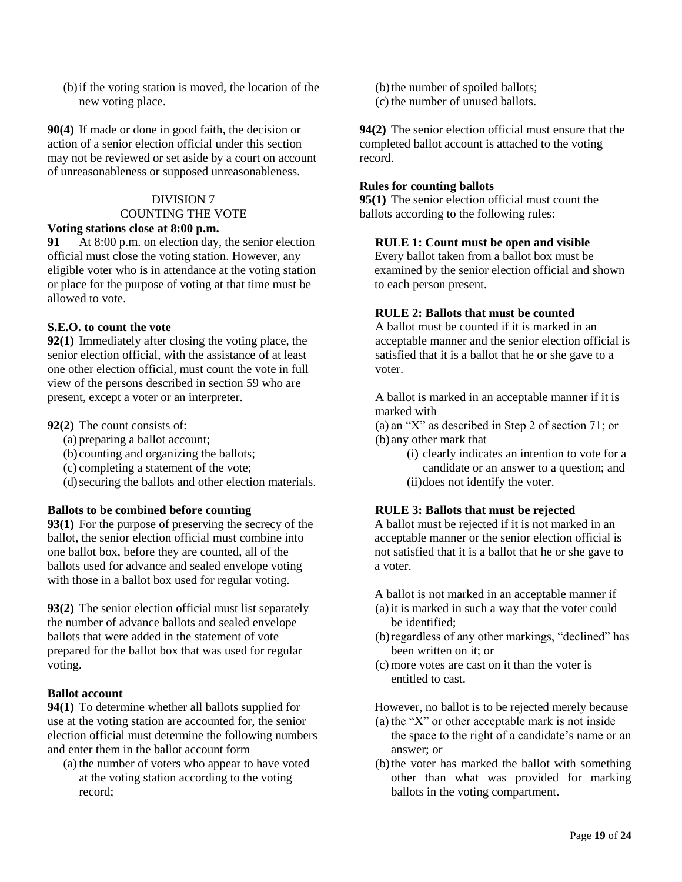(b)if the voting station is moved, the location of the new voting place.

**90(4)** If made or done in good faith, the decision or action of a senior election official under this section may not be reviewed or set aside by a court on account of unreasonableness or supposed unreasonableness.

# DIVISION 7 COUNTING THE VOTE

# **Voting stations close at 8:00 p.m.**

**91** At 8:00 p.m. on election day, the senior election official must close the voting station. However, any eligible voter who is in attendance at the voting station or place for the purpose of voting at that time must be allowed to vote.

# **S.E.O. to count the vote**

**92(1)** Immediately after closing the voting place, the senior election official, with the assistance of at least one other election official, must count the vote in full view of the persons described in section 59 who are present, except a voter or an interpreter.

# **92(2)** The count consists of:

- (a) preparing a ballot account;
- (b) counting and organizing the ballots;
- (c) completing a statement of the vote;
- (d)securing the ballots and other election materials.

# **Ballots to be combined before counting**

**93(1)** For the purpose of preserving the secrecy of the ballot, the senior election official must combine into one ballot box, before they are counted, all of the ballots used for advance and sealed envelope voting with those in a ballot box used for regular voting.

**93(2)** The senior election official must list separately the number of advance ballots and sealed envelope ballots that were added in the statement of vote prepared for the ballot box that was used for regular voting.

# **Ballot account**

**94(1)** To determine whether all ballots supplied for use at the voting station are accounted for, the senior election official must determine the following numbers and enter them in the ballot account form

(a) the number of voters who appear to have voted at the voting station according to the voting record;

- (b)the number of spoiled ballots;
- (c) the number of unused ballots.

**94(2)** The senior election official must ensure that the completed ballot account is attached to the voting record.

# **Rules for counting ballots**

**95(1)** The senior election official must count the ballots according to the following rules:

# **RULE 1: Count must be open and visible**

Every ballot taken from a ballot box must be examined by the senior election official and shown to each person present.

# **RULE 2: Ballots that must be counted**

A ballot must be counted if it is marked in an acceptable manner and the senior election official is satisfied that it is a ballot that he or she gave to a voter.

A ballot is marked in an acceptable manner if it is marked with

(a) an "X" as described in Step 2 of section 71; or (b) any other mark that

> (i) clearly indicates an intention to vote for a candidate or an answer to a question; and (ii)does not identify the voter.

# **RULE 3: Ballots that must be rejected**

A ballot must be rejected if it is not marked in an acceptable manner or the senior election official is not satisfied that it is a ballot that he or she gave to a voter.

A ballot is not marked in an acceptable manner if

- (a) it is marked in such a way that the voter could be identified;
- (b)regardless of any other markings, "declined" has been written on it; or
- (c) more votes are cast on it than the voter is entitled to cast.

However, no ballot is to be rejected merely because

- (a) the "X" or other acceptable mark is not inside the space to the right of a candidate's name or an answer; or
- (b)the voter has marked the ballot with something other than what was provided for marking ballots in the voting compartment.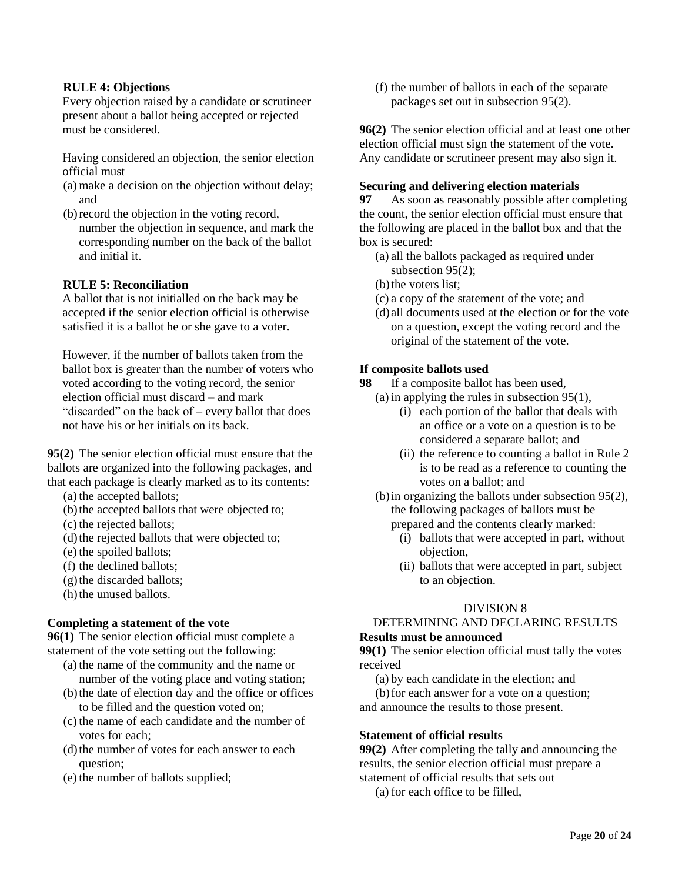#### **RULE 4: Objections**

Every objection raised by a candidate or scrutineer present about a ballot being accepted or rejected must be considered.

Having considered an objection, the senior election official must

- (a) make a decision on the objection without delay; and
- (b)record the objection in the voting record, number the objection in sequence, and mark the corresponding number on the back of the ballot and initial it.

#### **RULE 5: Reconciliation**

A ballot that is not initialled on the back may be accepted if the senior election official is otherwise satisfied it is a ballot he or she gave to a voter.

However, if the number of ballots taken from the ballot box is greater than the number of voters who voted according to the voting record, the senior election official must discard – and mark "discarded" on the back of – every ballot that does not have his or her initials on its back.

**95(2)** The senior election official must ensure that the ballots are organized into the following packages, and that each package is clearly marked as to its contents:

(a) the accepted ballots;

- (b) the accepted ballots that were objected to;
- (c) the rejected ballots;
- (d) the rejected ballots that were objected to;
- (e) the spoiled ballots;
- (f) the declined ballots;
- $(g)$  the discarded ballots;
- (h) the unused ballots.

# **Completing a statement of the vote**

**96(1)** The senior election official must complete a statement of the vote setting out the following:

- (a) the name of the community and the name or number of the voting place and voting station;
- (b)the date of election day and the office or offices to be filled and the question voted on;
- (c) the name of each candidate and the number of votes for each;
- (d)the number of votes for each answer to each question;
- (e) the number of ballots supplied;

(f) the number of ballots in each of the separate packages set out in subsection 95(2).

**96(2)** The senior election official and at least one other election official must sign the statement of the vote. Any candidate or scrutineer present may also sign it.

#### **Securing and delivering election materials**

**97** As soon as reasonably possible after completing the count, the senior election official must ensure that the following are placed in the ballot box and that the box is secured:

- (a) all the ballots packaged as required under subsection 95(2);
- (b) the voters list:
- (c) a copy of the statement of the vote; and
- (d) all documents used at the election or for the vote on a question, except the voting record and the original of the statement of the vote.

# **If composite ballots used**

**98** If a composite ballot has been used,

- (a) in applying the rules in subsection 95(1),
	- (i) each portion of the ballot that deals with an office or a vote on a question is to be considered a separate ballot; and
	- (ii) the reference to counting a ballot in Rule 2 is to be read as a reference to counting the votes on a ballot; and
- (b)in organizing the ballots under subsection 95(2), the following packages of ballots must be prepared and the contents clearly marked:
	- (i) ballots that were accepted in part, without objection,
	- (ii) ballots that were accepted in part, subject to an objection.

# DIVISION 8

# DETERMINING AND DECLARING RESULTS **Results must be announced**

**99(1)** The senior election official must tally the votes received

(a) by each candidate in the election; and

(b)for each answer for a vote on a question; and announce the results to those present.

#### **Statement of official results**

**99(2)** After completing the tally and announcing the results, the senior election official must prepare a statement of official results that sets out

(a) for each office to be filled,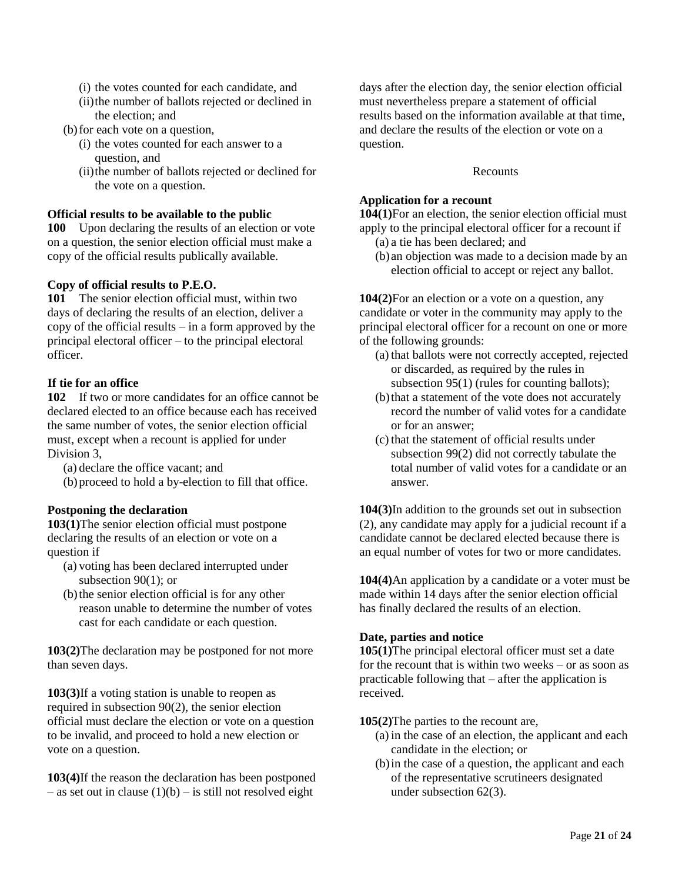- (i) the votes counted for each candidate, and
- (ii)the number of ballots rejected or declined in the election; and
- (b)for each vote on a question,
	- (i) the votes counted for each answer to a question, and
	- (ii)the number of ballots rejected or declined for the vote on a question.

# **Official results to be available to the public**

**100** Upon declaring the results of an election or vote on a question, the senior election official must make a copy of the official results publically available.

# **Copy of official results to P.E.O.**

**101** The senior election official must, within two days of declaring the results of an election, deliver a copy of the official results – in a form approved by the principal electoral officer – to the principal electoral officer.

# **If tie for an office**

**102** If two or more candidates for an office cannot be declared elected to an office because each has received the same number of votes, the senior election official must, except when a recount is applied for under Division 3,

(a) declare the office vacant; and

(b)proceed to hold a by-election to fill that office.

# **Postponing the declaration**

**103(1)**The senior election official must postpone declaring the results of an election or vote on a question if

- (a) voting has been declared interrupted under subsection  $90(1)$ ; or
- (b)the senior election official is for any other reason unable to determine the number of votes cast for each candidate or each question.

**103(2)**The declaration may be postponed for not more than seven days.

**103(3)**If a voting station is unable to reopen as required in subsection 90(2), the senior election official must declare the election or vote on a question to be invalid, and proceed to hold a new election or vote on a question.

**103(4)**If the reason the declaration has been postponed – as set out in clause  $(1)(b)$  – is still not resolved eight

days after the election day, the senior election official must nevertheless prepare a statement of official results based on the information available at that time, and declare the results of the election or vote on a question.

#### Recounts

# **Application for a recount**

**104(1)**For an election, the senior election official must apply to the principal electoral officer for a recount if

- (a) a tie has been declared; and
- (b) an objection was made to a decision made by an election official to accept or reject any ballot.

**104(2)**For an election or a vote on a question, any candidate or voter in the community may apply to the principal electoral officer for a recount on one or more of the following grounds:

- (a) that ballots were not correctly accepted, rejected or discarded, as required by the rules in subsection 95(1) (rules for counting ballots);
- (b)that a statement of the vote does not accurately record the number of valid votes for a candidate or for an answer;
- (c) that the statement of official results under subsection 99(2) did not correctly tabulate the total number of valid votes for a candidate or an answer.

**104(3)**In addition to the grounds set out in subsection (2), any candidate may apply for a judicial recount if a candidate cannot be declared elected because there is an equal number of votes for two or more candidates.

**104(4)**An application by a candidate or a voter must be made within 14 days after the senior election official has finally declared the results of an election.

# **Date, parties and notice**

**105(1)**The principal electoral officer must set a date for the recount that is within two weeks – or as soon as practicable following that – after the application is received.

**105(2)**The parties to the recount are,

- (a) in the case of an election, the applicant and each candidate in the election; or
- (b)in the case of a question, the applicant and each of the representative scrutineers designated under subsection 62(3).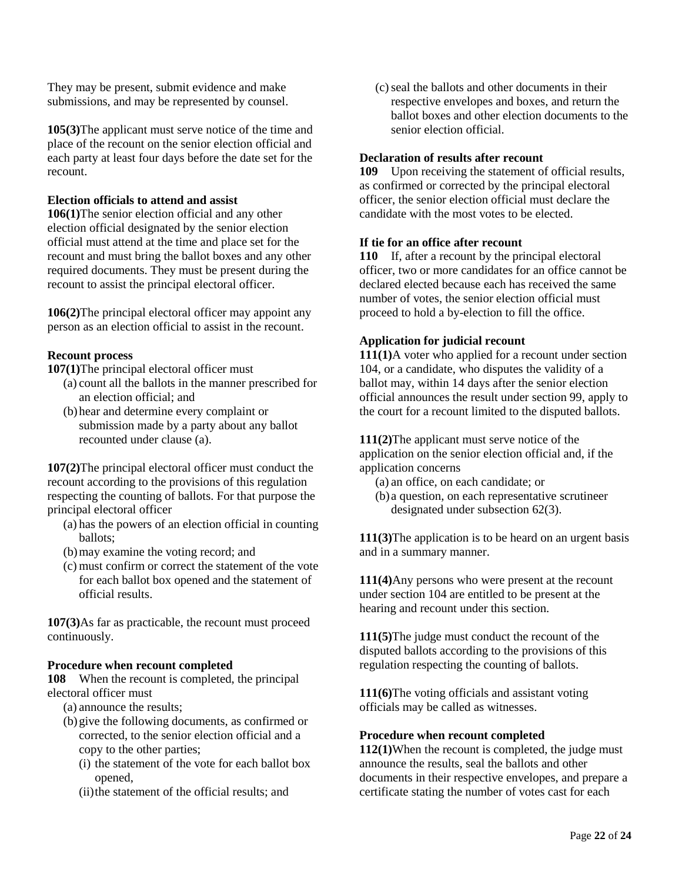They may be present, submit evidence and make submissions, and may be represented by counsel.

**105(3)**The applicant must serve notice of the time and place of the recount on the senior election official and each party at least four days before the date set for the recount.

# **Election officials to attend and assist**

**106(1)**The senior election official and any other election official designated by the senior election official must attend at the time and place set for the recount and must bring the ballot boxes and any other required documents. They must be present during the recount to assist the principal electoral officer.

**106(2)**The principal electoral officer may appoint any person as an election official to assist in the recount.

# **Recount process**

**107(1)**The principal electoral officer must

- (a) count all the ballots in the manner prescribed for an election official; and
- (b)hear and determine every complaint or submission made by a party about any ballot recounted under clause (a).

**107(2)**The principal electoral officer must conduct the recount according to the provisions of this regulation respecting the counting of ballots. For that purpose the principal electoral officer

- (a) has the powers of an election official in counting ballots;
- (b)may examine the voting record; and
- (c) must confirm or correct the statement of the vote for each ballot box opened and the statement of official results.

**107(3)**As far as practicable, the recount must proceed continuously.

# **Procedure when recount completed**

**108** When the recount is completed, the principal electoral officer must

- (a) announce the results;
- (b)give the following documents, as confirmed or corrected, to the senior election official and a copy to the other parties;
	- (i) the statement of the vote for each ballot box opened,
	- (ii)the statement of the official results; and

(c)seal the ballots and other documents in their respective envelopes and boxes, and return the ballot boxes and other election documents to the senior election official.

#### **Declaration of results after recount**

**109** Upon receiving the statement of official results, as confirmed or corrected by the principal electoral officer, the senior election official must declare the candidate with the most votes to be elected.

#### **If tie for an office after recount**

**110** If, after a recount by the principal electoral officer, two or more candidates for an office cannot be declared elected because each has received the same number of votes, the senior election official must proceed to hold a by-election to fill the office.

# **Application for judicial recount**

**111(1)**A voter who applied for a recount under section 104, or a candidate, who disputes the validity of a ballot may, within 14 days after the senior election official announces the result under section 99, apply to the court for a recount limited to the disputed ballots.

**111(2)**The applicant must serve notice of the application on the senior election official and, if the application concerns

- (a) an office, on each candidate; or
- (b) a question, on each representative scrutineer designated under subsection 62(3).

**111(3)**The application is to be heard on an urgent basis and in a summary manner.

**111(4)**Any persons who were present at the recount under section 104 are entitled to be present at the hearing and recount under this section.

**111(5)**The judge must conduct the recount of the disputed ballots according to the provisions of this regulation respecting the counting of ballots.

**111(6)**The voting officials and assistant voting officials may be called as witnesses.

# **Procedure when recount completed**

**112(1)**When the recount is completed, the judge must announce the results, seal the ballots and other documents in their respective envelopes, and prepare a certificate stating the number of votes cast for each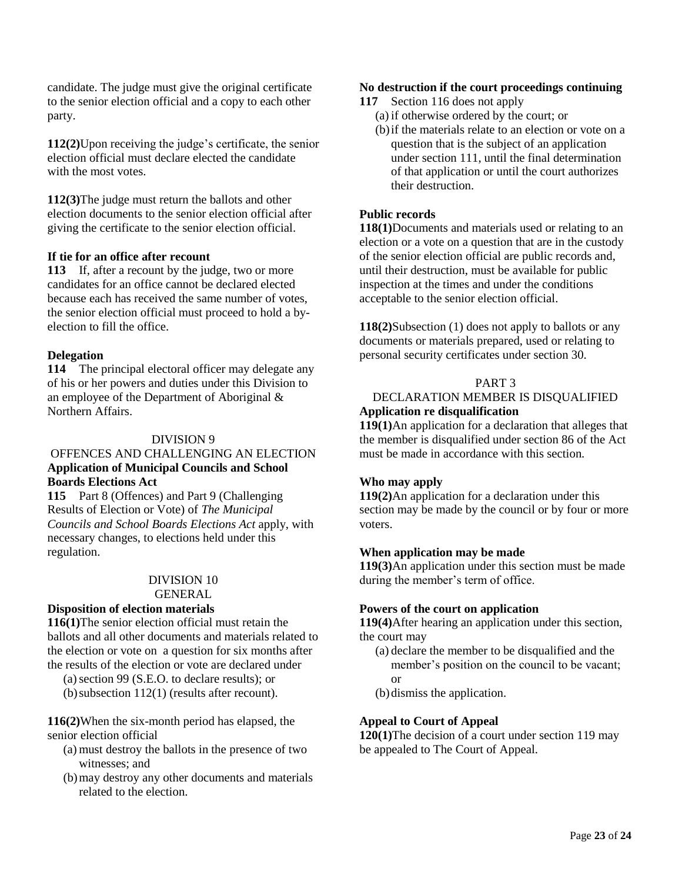candidate. The judge must give the original certificate to the senior election official and a copy to each other party.

**112(2)**Upon receiving the judge's certificate, the senior election official must declare elected the candidate with the most votes.

**112(3)**The judge must return the ballots and other election documents to the senior election official after giving the certificate to the senior election official.

# **If tie for an office after recount**

**113** If, after a recount by the judge, two or more candidates for an office cannot be declared elected because each has received the same number of votes, the senior election official must proceed to hold a byelection to fill the office.

# **Delegation**

**114** The principal electoral officer may delegate any of his or her powers and duties under this Division to an employee of the Department of Aboriginal & Northern Affairs.

#### DIVISION 9

#### OFFENCES AND CHALLENGING AN ELECTION **Application of Municipal Councils and School Boards Elections Act**

**115** Part 8 (Offences) and Part 9 (Challenging Results of Election or Vote) of *The Municipal Councils and School Boards Elections Act* apply, with necessary changes, to elections held under this regulation.

# DIVISION 10

GENERAL

#### **Disposition of election materials**

**116(1)**The senior election official must retain the ballots and all other documents and materials related to the election or vote on a question for six months after the results of the election or vote are declared under

(a) section 99 (S.E.O. to declare results); or

(b)subsection 112(1) (results after recount).

**116(2)**When the six-month period has elapsed, the senior election official

- (a) must destroy the ballots in the presence of two witnesses; and
- (b)may destroy any other documents and materials related to the election.

#### **No destruction if the court proceedings continuing**

- **117** Section 116 does not apply
	- (a) if otherwise ordered by the court; or
	- (b)if the materials relate to an election or vote on a question that is the subject of an application under section 111, until the final determination of that application or until the court authorizes their destruction.

#### **Public records**

**118(1)**Documents and materials used or relating to an election or a vote on a question that are in the custody of the senior election official are public records and, until their destruction, must be available for public inspection at the times and under the conditions acceptable to the senior election official.

**118(2)**Subsection (1) does not apply to ballots or any documents or materials prepared, used or relating to personal security certificates under section 30.

#### PART 3

#### DECLARATION MEMBER IS DISQUALIFIED **Application re disqualification**

**119(1)**An application for a declaration that alleges that the member is disqualified under section 86 of the Act must be made in accordance with this section.

#### **Who may apply**

**119(2)**An application for a declaration under this section may be made by the council or by four or more voters.

#### **When application may be made**

**119(3)**An application under this section must be made during the member's term of office.

#### **Powers of the court on application**

**119(4)**After hearing an application under this section, the court may

- (a) declare the member to be disqualified and the member's position on the council to be vacant; or
- (b)dismiss the application.

#### **Appeal to Court of Appeal**

**120(1)**The decision of a court under section 119 may be appealed to The Court of Appeal.